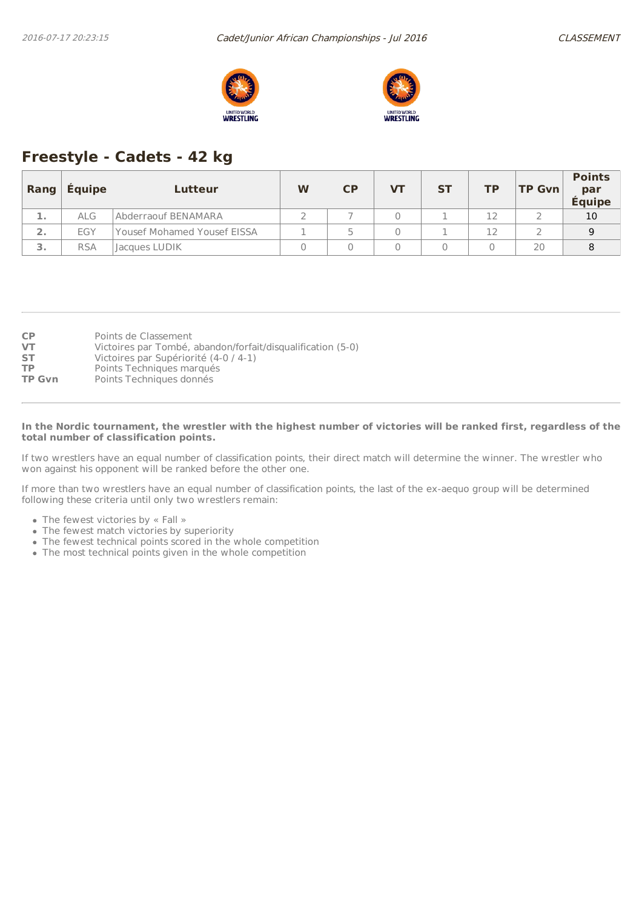



## **Freestyle - Cadets - 42 kg**

| Rang | Équipe     | <b>Lutteur</b>                     | W | СP | VT | <b>ST</b> | ТP | <b>TP Gvn</b> | <b>Points</b><br>par<br><b>Équipe</b> |
|------|------------|------------------------------------|---|----|----|-----------|----|---------------|---------------------------------------|
| 1.   | ALG.       | Abderraouf BENAMARA                |   |    |    |           |    |               | 10                                    |
| 2.   | EGY        | <b>Yousef Mohamed Yousef EISSA</b> |   |    |    |           |    |               |                                       |
| з.   | <b>RSA</b> | Jacques LUDIK                      |   |    |    |           |    | 20            |                                       |

| <b>CP</b><br>VT<br><b>ST</b><br>ТP | Points de Classement<br>Victoires par Tombé, abandon/forfait/disqualification (5-0)<br>Victoires par Supériorité (4-0 / 4-1)<br>Points Techniques marqués |
|------------------------------------|-----------------------------------------------------------------------------------------------------------------------------------------------------------|
|                                    |                                                                                                                                                           |
| <b>TP Gvn</b>                      | Points Techniques donnés                                                                                                                                  |

### In the Nordic tournament, the wrestler with the highest number of victories will be ranked first, regardless of the **total number of classification points.**

If two wrestlers have an equal number of classification points, their direct match will determine the winner. The wrestler who won against his opponent will be ranked before the other one.

- The fewest victories by « Fall »
- The fewest match victories by superiority
- The fewest technical points scored in the whole competition
- The most technical points given in the whole competition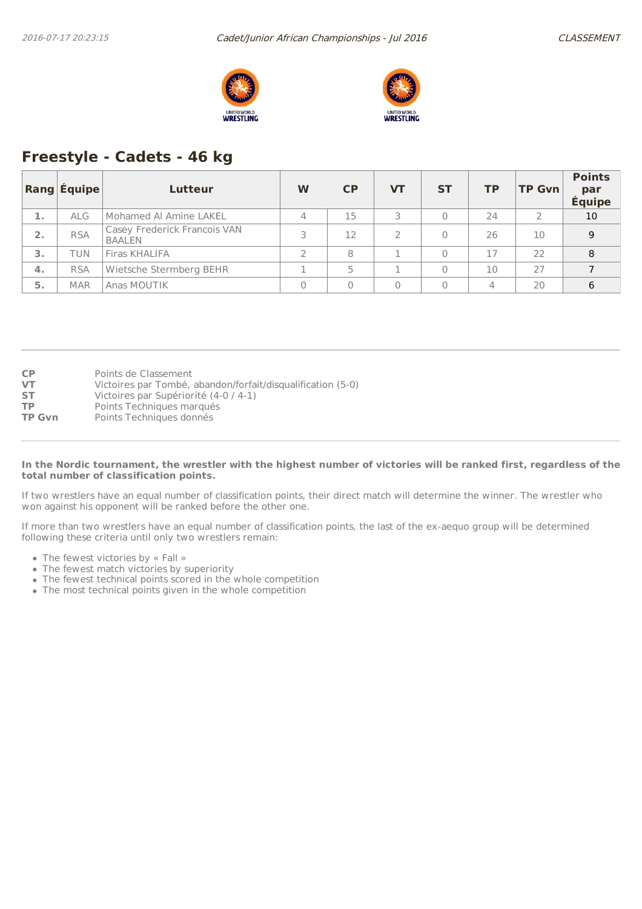



## **Freestyle - Cadets - 46 kg**

|    | <b>Rang</b> Equipe | Lutteur                                       | W        | <b>CP</b> | VТ | <b>ST</b> | <b>TP</b> | <b>TP Gvn</b> | <b>Points</b><br>par<br>Équipe |
|----|--------------------|-----------------------------------------------|----------|-----------|----|-----------|-----------|---------------|--------------------------------|
| 1. | <b>ALG</b>         | Mohamed Al Amine LAKEL                        |          | 15        |    |           | 24        |               | 10                             |
| 2. | <b>RSA</b>         | Casey Frederick Francois VAN<br><b>BAALEN</b> |          | 12        |    |           | 26        | 10            | q                              |
| 3. | TUN                | Firas KHALIFA                                 |          | 8         |    | 0         | 17        | 22            |                                |
| 4. | <b>RSA</b>         | Wietsche Stermberg BEHR                       |          |           |    |           | 10        | 27            |                                |
| 5. | <b>MAR</b>         | Anas MOUTIK                                   | $\Omega$ |           |    |           | 4         | 20            |                                |

| <b>CP</b>     | Points de Classement                                        |
|---------------|-------------------------------------------------------------|
| <b>VT</b>     | Victoires par Tombé, abandon/forfait/disqualification (5-0) |
| <b>ST</b>     | Victoires par Supériorité (4-0 / 4-1)                       |
| <b>TP</b>     | Points Techniques marqués                                   |
| <b>TP Gvn</b> | Points Techniques donnés                                    |
|               |                                                             |

#### In the Nordic tournament, the wrestler with the highest number of victories will be ranked first, regardless of the **total number of classification points.**

If two wrestlers have an equal number of classification points, their direct match will determine the winner. The wrestler who won against his opponent will be ranked before the other one.

- The fewest victories by « Fall »
- The fewest match victories by superiority
- The fewest technical points scored in the whole competition
- The most technical points given in the whole competition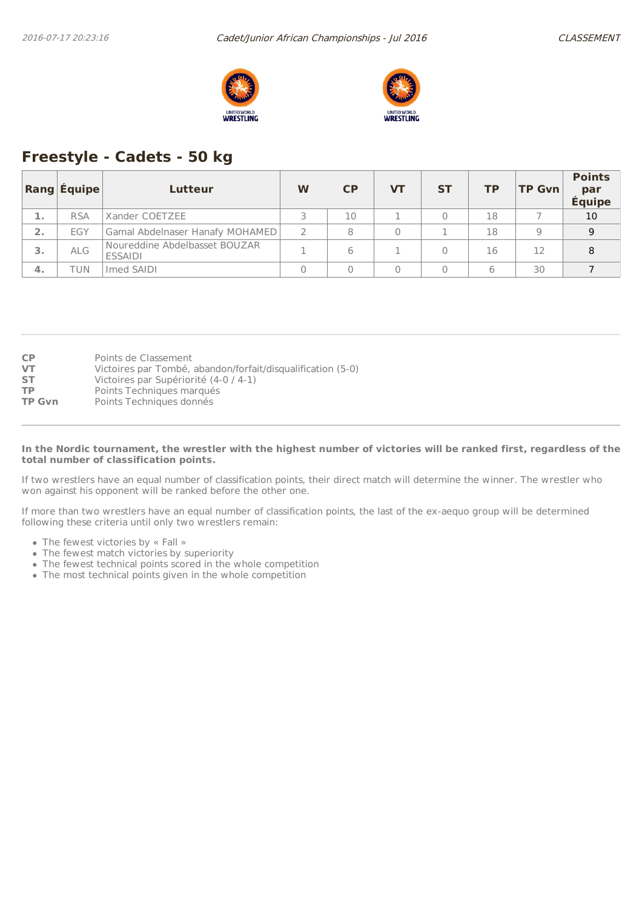



## **Freestyle - Cadets - 50 kg**

|                | <b>Rang</b> Équipe | Lutteur                                         | W | <b>CP</b> | VТ | <b>ST</b> | TP | <b>TP Gvn</b> | <b>Points</b><br>par<br>Équipe |
|----------------|--------------------|-------------------------------------------------|---|-----------|----|-----------|----|---------------|--------------------------------|
| a,             | <b>RSA</b>         | Xander COETZEE                                  |   | 10        |    |           | 18 |               | 10                             |
| $\mathbf{2}$ . | EGY                | Gamal Abdelnaser Hanafy MOHAMED                 |   | 8         |    |           | 18 | Q             |                                |
| 3.             | <b>ALG</b>         | Noureddine Abdelbasset BOUZAR<br><b>ESSAIDI</b> |   |           |    |           | 16 | 12            |                                |
| 4.             | TUN                | Imed SAIDI                                      |   |           |    |           |    | 30            |                                |

| <b>CP</b><br><b>VT</b> | Points de Classement<br>Victoires par Tombé, abandon/forfait/disqualification (5-0) |
|------------------------|-------------------------------------------------------------------------------------|
| <b>ST</b>              | Victoires par Supériorité (4-0 / 4-1)                                               |
| TP.                    | Points Techniques marqués                                                           |
| <b>TP Gvn</b>          | Points Techniques donnés                                                            |

#### In the Nordic tournament, the wrestler with the highest number of victories will be ranked first, regardless of the **total number of classification points.**

If two wrestlers have an equal number of classification points, their direct match will determine the winner. The wrestler who won against his opponent will be ranked before the other one.

- The fewest victories by « Fall »
- The fewest match victories by superiority
- The fewest technical points scored in the whole competition
- The most technical points given in the whole competition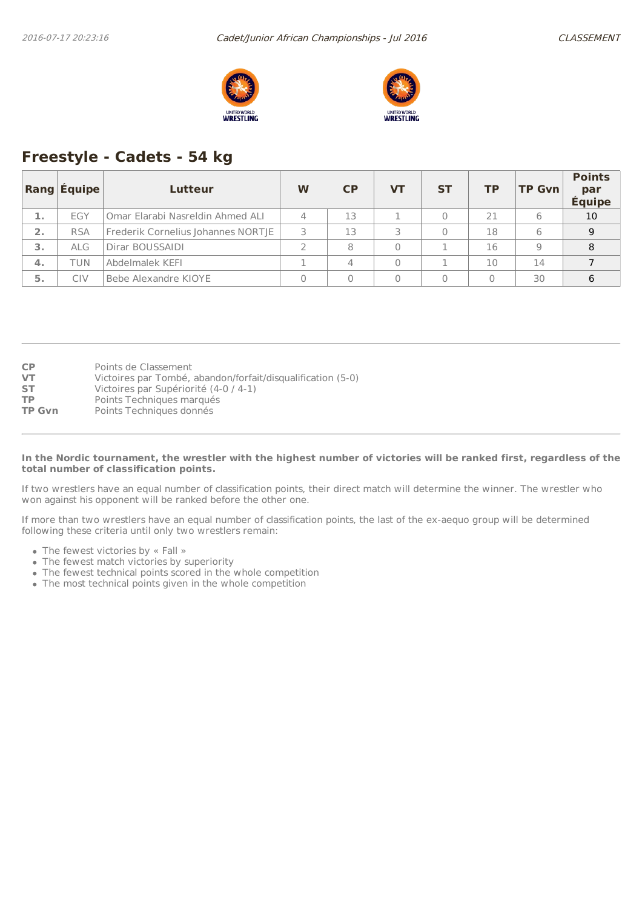



## **Freestyle - Cadets - 54 kg**

|                | <b>Rang</b> Équipe | Lutteur                            | W | <b>CP</b> | VТ | <b>ST</b> | ТP | <b>TP Gvn</b> | <b>Points</b><br>par<br>Équipe |
|----------------|--------------------|------------------------------------|---|-----------|----|-----------|----|---------------|--------------------------------|
| a.,            | EGY                | Omar Elarabi Nasreldin Ahmed ALI   |   | 13        |    |           | 21 |               | 10                             |
| $\mathbf{2}$ . | <b>RSA</b>         | Frederik Cornelius Johannes NORTJE |   | 13        |    |           | 18 |               |                                |
| з.             | <b>ALG</b>         | Dirar BOUSSAIDI                    |   | 8         |    |           | 16 | q             |                                |
| 4.             | TUN                | Abdelmalek KEFI                    |   |           |    |           | 10 | 14            |                                |
| 5.             | civ                | Bebe Alexandre KIOYE               |   |           |    |           |    | 30            |                                |

| <b>CP</b>     | Points de Classement                                        |
|---------------|-------------------------------------------------------------|
| <b>VT</b>     | Victoires par Tombé, abandon/forfait/disqualification (5-0) |
| <b>ST</b>     | Victoires par Supériorité (4-0 / 4-1)                       |
| <b>TP</b>     | Points Techniques marqués                                   |
| <b>TP Gvn</b> | Points Techniques donnés                                    |

### In the Nordic tournament, the wrestler with the highest number of victories will be ranked first, regardless of the **total number of classification points.**

If two wrestlers have an equal number of classification points, their direct match will determine the winner. The wrestler who won against his opponent will be ranked before the other one.

- The fewest victories by « Fall »
- The fewest match victories by superiority
- The fewest technical points scored in the whole competition
- The most technical points given in the whole competition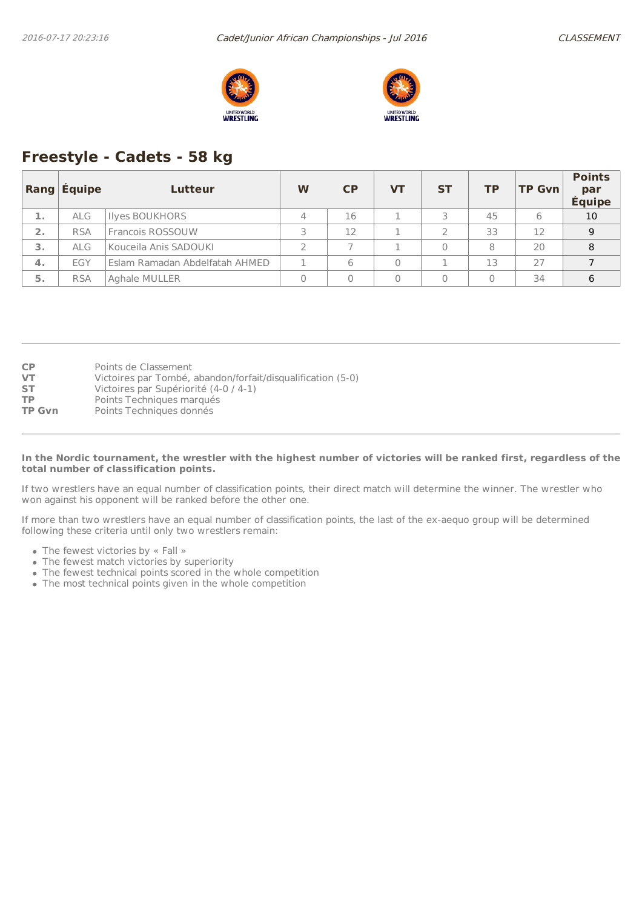



## **Freestyle - Cadets - 58 kg**

| Rang | Équipe     | Lutteur                        | W | <b>CP</b> | VТ | <b>ST</b> | ТP | <b>TP Gvn</b> | <b>Points</b><br>par<br>Équipe |
|------|------------|--------------------------------|---|-----------|----|-----------|----|---------------|--------------------------------|
| 1.   | <b>ALG</b> | <b>Ilyes BOUKHORS</b>          |   | 16        |    |           | 45 | 6             | 10                             |
| 2.   | <b>RSA</b> | <b>Francois ROSSOUW</b>        |   | 12        |    |           | 33 | 12            |                                |
| 3.   | <b>ALG</b> | Kouceila Anis SADOUKI          |   |           |    |           | 8  | 20            |                                |
| 4.   | EGY        | Eslam Ramadan Abdelfatah AHMED |   |           |    |           | 13 | 27            |                                |
| 5.   | <b>RSA</b> | Aghale MULLER                  |   |           |    |           |    | 34            |                                |

| <b>CP</b>     | Points de Classement                                        |
|---------------|-------------------------------------------------------------|
| <b>VT</b>     | Victoires par Tombé, abandon/forfait/disqualification (5-0) |
| <b>ST</b>     | Victoires par Supériorité (4-0 / 4-1)                       |
| <b>TP</b>     | Points Techniques marqués                                   |
| <b>TP Gvn</b> | Points Techniques donnés                                    |

### In the Nordic tournament, the wrestler with the highest number of victories will be ranked first, regardless of the **total number of classification points.**

If two wrestlers have an equal number of classification points, their direct match will determine the winner. The wrestler who won against his opponent will be ranked before the other one.

- The fewest victories by « Fall »
- The fewest match victories by superiority
- The fewest technical points scored in the whole competition
- The most technical points given in the whole competition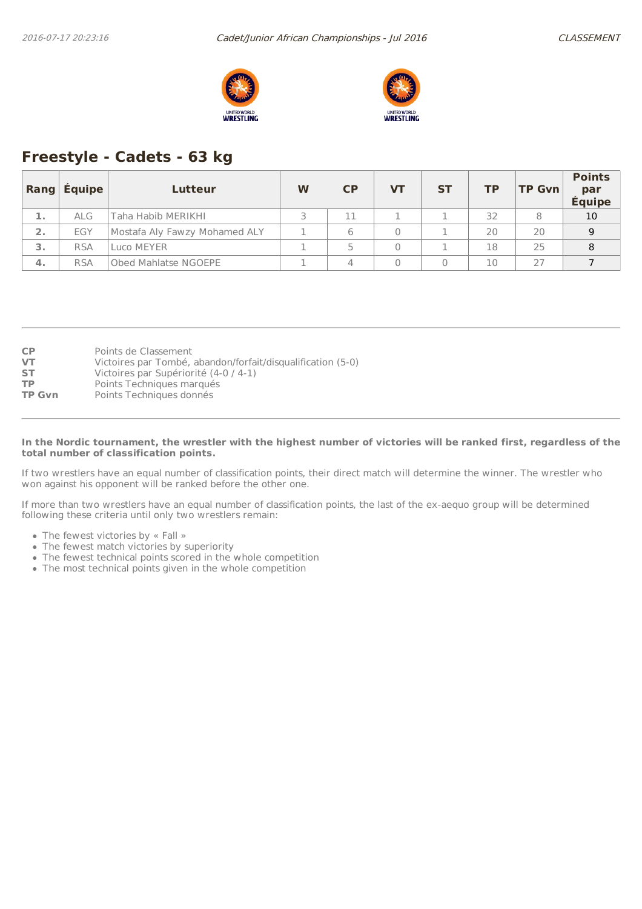



## **Freestyle - Cadets - 63 kg**

| Rang | <b>Équipe</b> | Lutteur                       | W | <b>CP</b> | VТ | <b>ST</b> | ТP | <b>TP Gvn</b> | <b>Points</b><br>par<br>Équipe |
|------|---------------|-------------------------------|---|-----------|----|-----------|----|---------------|--------------------------------|
| 1.   | <b>ALG</b>    | Taha Habib MERIKHI            |   | 11        |    |           | 32 | 8             | 10                             |
| 2.   | EGY           | Mostafa Aly Fawzy Mohamed ALY |   | 6         |    |           | 20 | 20            | <sup>o</sup>                   |
| 3.   | <b>RSA</b>    | Luco MEYER                    |   |           |    |           | 18 | 25            |                                |
| 4.   | <b>RSA</b>    | Obed Mahlatse NGOEPE          |   | ⊥         |    |           | 10 | 27            |                                |

| <b>CP</b>     | Points de Classement                                        |
|---------------|-------------------------------------------------------------|
| <b>VT</b>     | Victoires par Tombé, abandon/forfait/disqualification (5-0) |
| <b>ST</b>     | Victoires par Supériorité (4-0 / 4-1)                       |
| TP            | Points Techniques marqués                                   |
| <b>TP Gvn</b> | Points Techniques donnés                                    |

#### In the Nordic tournament, the wrestler with the highest number of victories will be ranked first, regardless of the **total number of classification points.**

If two wrestlers have an equal number of classification points, their direct match will determine the winner. The wrestler who won against his opponent will be ranked before the other one.

- The fewest victories by « Fall »
- The fewest match victories by superiority
- The fewest technical points scored in the whole competition
- The most technical points given in the whole competition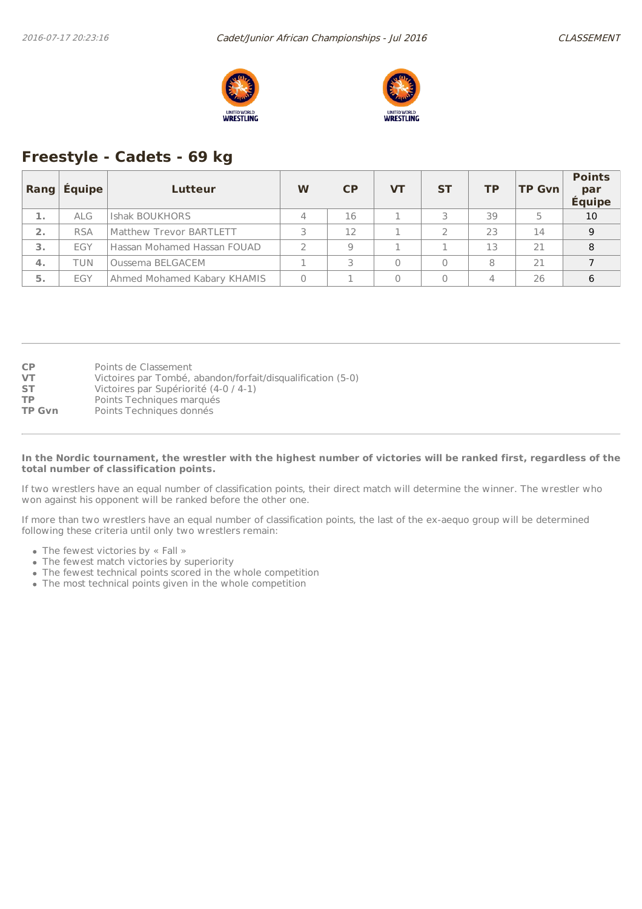



## **Freestyle - Cadets - 69 kg**

| Rang             | Équipe     | Lutteur                     | W      | <b>CP</b> | VТ | <b>ST</b> | <b>TP</b> | <b>TP Gvn</b> | <b>Points</b><br>par<br>Équipe |
|------------------|------------|-----------------------------|--------|-----------|----|-----------|-----------|---------------|--------------------------------|
| л.,              | <b>ALG</b> | <b>Ishak BOUKHORS</b>       |        | 16        |    |           | 39        |               | 10                             |
| $\overline{2}$ . | <b>RSA</b> | Matthew Trevor BARTLETT     |        | 12        |    |           | 23        | 14            |                                |
| з.               | EGY        | Hassan Mohamed Hassan FOUAD |        |           |    |           | 13        | 21            |                                |
| 4.               | TUN        | Oussema BELGACEM            |        |           |    |           | 8         | 21            |                                |
| 5.               | EGY        | Ahmed Mohamed Kabary KHAMIS | $\cap$ |           |    |           | 4         | 26            |                                |

| <b>CP</b>     | Points de Classement                                        |
|---------------|-------------------------------------------------------------|
| <b>VT</b>     | Victoires par Tombé, abandon/forfait/disqualification (5-0) |
| <b>ST</b>     | Victoires par Supériorité (4-0 / 4-1)                       |
| <b>TP</b>     | Points Techniques marqués                                   |
| <b>TP Gvn</b> | Points Techniques donnés                                    |

### In the Nordic tournament, the wrestler with the highest number of victories will be ranked first, regardless of the **total number of classification points.**

If two wrestlers have an equal number of classification points, their direct match will determine the winner. The wrestler who won against his opponent will be ranked before the other one.

- The fewest victories by « Fall »
- The fewest match victories by superiority
- The fewest technical points scored in the whole competition
- The most technical points given in the whole competition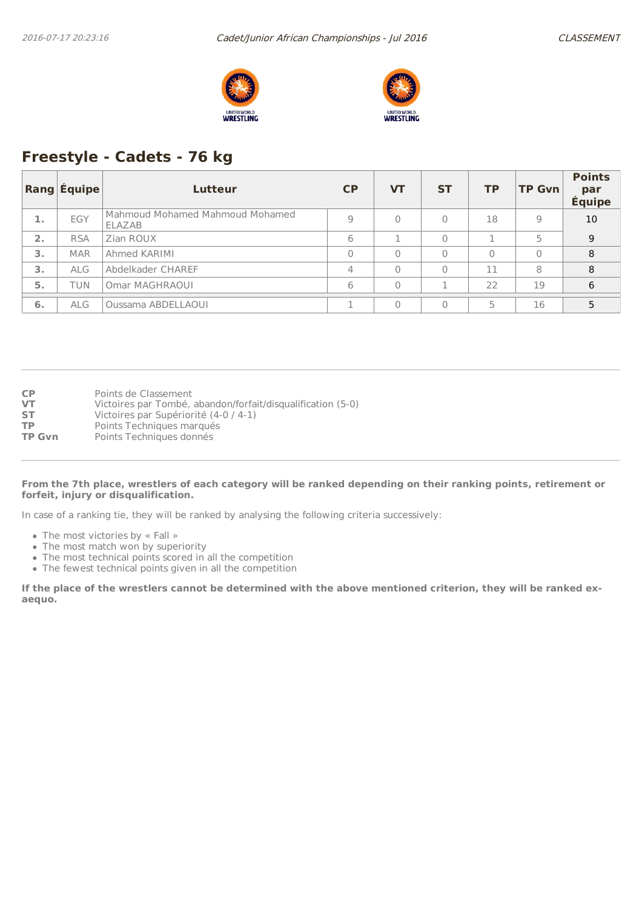



## **Freestyle - Cadets - 76 kg**

|    | <b>Rang</b> Équipe | Lutteur                                          | <b>CP</b> | <b>VT</b> | <b>ST</b> | <b>TP</b> | <b>TP Gvn</b> | <b>Points</b><br>par<br><b>Équipe</b> |
|----|--------------------|--------------------------------------------------|-----------|-----------|-----------|-----------|---------------|---------------------------------------|
| 1. | EGY                | Mahmoud Mohamed Mahmoud Mohamed<br><b>ELAZAB</b> | 9         |           |           | 18        | 9             | 10                                    |
| 2. | <b>RSA</b>         | Zian ROUX                                        | 6         |           |           |           |               | 9                                     |
| 3. | <b>MAR</b>         | Ahmed KARIMI                                     |           |           |           |           |               | 8                                     |
| з. | <b>ALG</b>         | Abdelkader CHAREF                                | 4         |           |           | 11        | 8             | 8                                     |
| 5. | <b>TUN</b>         | Omar MAGHRAOUI                                   | 6         |           |           | 22        | 19            | 6                                     |
| 6. | <b>ALG</b>         | Oussama ABDELLAOUI                               |           |           |           | 5         | 16            |                                       |

**CP** Points de Classement<br> **VIT** Victoires par Tombé. **VT** Victoires par Tombé, abandon/forfait/disqualification (5-0) **ST** Victoires par Supériorité (4-0 / 4-1) **TP Complete Points Techniques marqués**<br> **TP Gyn** Points Techniques donnés Points Techniques donnés

#### From the 7th place, wrestlers of each category will be ranked depending on their ranking points, retirement or **forfeit, injury or disqualification.**

In case of a ranking tie, they will be ranked by analysing the following criteria successively:

- The most victories by « Fall »
- The most match won by superiority
- The most technical points scored in all the competition
- The fewest technical points given in all the competition

If the place of the wrestlers cannot be determined with the above mentioned criterion, they will be ranked ex**aequo.**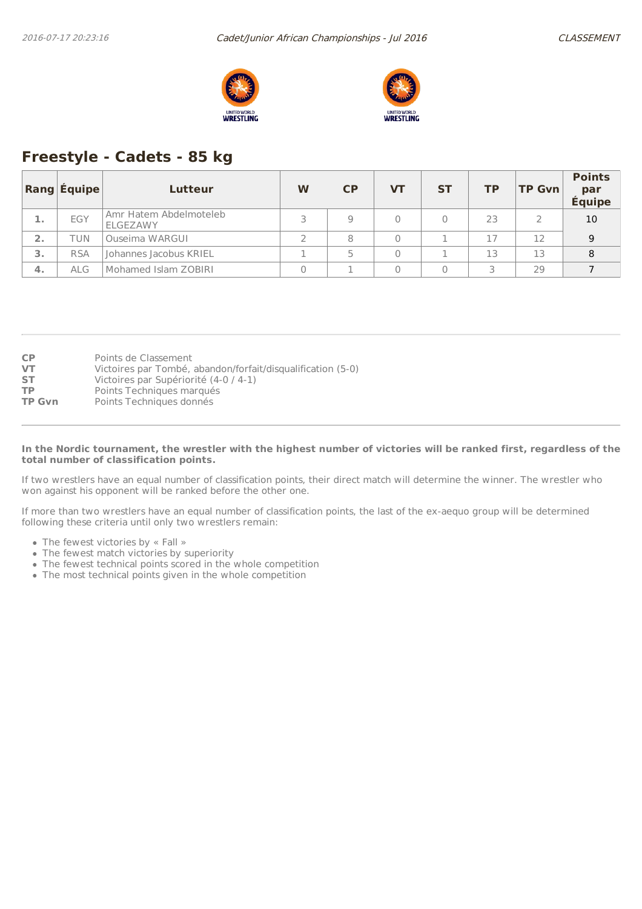



## **Freestyle - Cadets - 85 kg**

|                  | Rang Equipe | Lutteur                            | W | <b>CP</b> | VТ | <b>ST</b> | ТP | <b>TP Gvn</b> | <b>Points</b><br>par<br>Équipe |
|------------------|-------------|------------------------------------|---|-----------|----|-----------|----|---------------|--------------------------------|
| 1.               | EGY         | Amr Hatem Abdelmoteleb<br>ELGEZAWY |   | Q         |    |           | 23 |               | 10                             |
| 2.               | TUN         | Ouseima WARGUI                     |   | 8         |    |           |    | 12            |                                |
| 3.               | <b>RSA</b>  | Johannes Jacobus KRIEL             |   |           |    |           | 13 | 13            |                                |
| $\overline{4}$ . | <b>ALG</b>  | Mohamed Islam ZOBIRI               |   |           |    |           |    | 29            |                                |

| <b>CP</b>     | Points de Classement                                        |
|---------------|-------------------------------------------------------------|
| <b>VT</b>     | Victoires par Tombé, abandon/forfait/disqualification (5-0) |
| <b>ST</b>     | Victoires par Supériorité (4-0 / 4-1)                       |
| <b>TP</b>     | Points Techniques marqués                                   |
| <b>TP Gvn</b> | Points Techniques donnés                                    |

#### In the Nordic tournament, the wrestler with the highest number of victories will be ranked first, regardless of the **total number of classification points.**

If two wrestlers have an equal number of classification points, their direct match will determine the winner. The wrestler who won against his opponent will be ranked before the other one.

- The fewest victories by « Fall »
- The fewest match victories by superiority
- The fewest technical points scored in the whole competition
- The most technical points given in the whole competition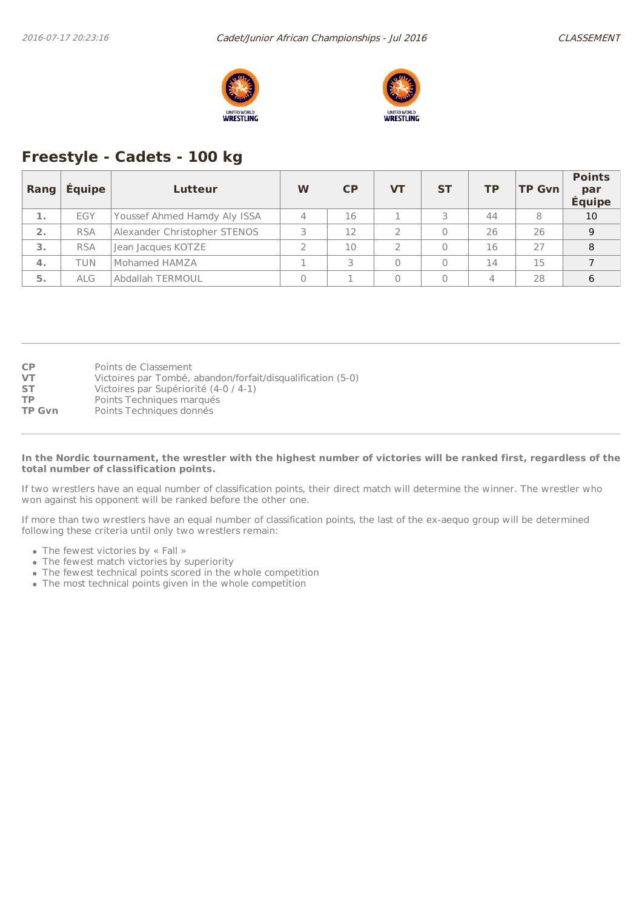



# **Freestyle - Cadets - 100 kg**

| Rang | Équipe     | Lutteur                      | W        | <b>CP</b> | VТ | <b>ST</b> | <b>TP</b> | <b>TP Gvn</b> | <b>Points</b><br>par<br><b>Équipe</b> |
|------|------------|------------------------------|----------|-----------|----|-----------|-----------|---------------|---------------------------------------|
| 1.   | EGY        | Youssef Ahmed Hamdy Aly ISSA |          | 16        |    |           | 44        | 8             | 10                                    |
| 2.   | <b>RSA</b> | Alexander Christopher STENOS |          | 12        | ∍  |           | 26        | 26            |                                       |
| 3.   | <b>RSA</b> | Jean Jacques KOTZE           |          | 10        | ∍  |           | 16        | 27            |                                       |
| 4.   | <b>TUN</b> | Mohamed HAMZA                |          | Þ         |    |           | 14        | 15            |                                       |
| 5.   | <b>ALG</b> | <b>Abdallah TERMOUL</b>      | $\Omega$ |           |    |           | 4         | 28            |                                       |

| <b>CP</b>     | Points de Classement                                        |
|---------------|-------------------------------------------------------------|
| <b>VT</b>     | Victoires par Tombé, abandon/forfait/disqualification (5-0) |
| <b>ST</b>     | Victoires par Supériorité (4-0 / 4-1)                       |
| <b>TP</b>     | Points Techniques marqués                                   |
| <b>TP Gvn</b> | Points Techniques donnés                                    |

### In the Nordic tournament, the wrestler with the highest number of victories will be ranked first, regardless of the **total number of classification points.**

If two wrestlers have an equal number of classification points, their direct match will determine the winner. The wrestler who won against his opponent will be ranked before the other one.

- The fewest victories by « Fall »
- The fewest match victories by superiority
- The fewest technical points scored in the whole competition
- The most technical points given in the whole competition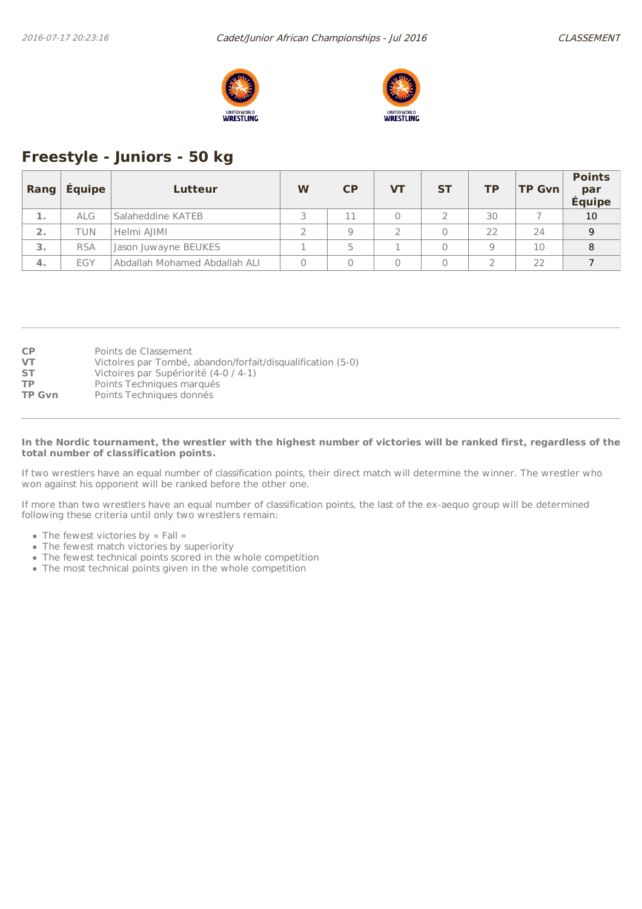



## **Freestyle - Juniors - 50 kg**

| Rang  | Équipe     | Lutteur                       | W | <b>CP</b> | VТ | <b>ST</b> | ТP | TP Gvn | <b>Points</b><br>par<br>Équipe |
|-------|------------|-------------------------------|---|-----------|----|-----------|----|--------|--------------------------------|
| dia s | <b>ALG</b> | <b>Salaheddine KATEB</b>      |   | 11        |    |           | 30 |        | 10                             |
| 2.    | TUN        | Helmi AJIMI                   |   |           |    |           | 22 | 24     | $\Omega$                       |
| 3.    | <b>RSA</b> | Jason Juwayne BEUKES          |   |           |    |           |    | 10     |                                |
| 4.    | EGY        | Abdallah Mohamed Abdallah ALI |   |           |    |           |    | 22     |                                |

| <b>CP</b><br><b>VT</b> | Points de Classement<br>Victoires par Tombé, abandon/forfait/disqualification (5-0) |
|------------------------|-------------------------------------------------------------------------------------|
| <b>ST</b>              | Victoires par Supériorité (4-0 / 4-1)                                               |
| TP                     | Points Techniques marqués                                                           |
| <b>TP Gvn</b>          | Points Techniques donnés                                                            |

#### In the Nordic tournament, the wrestler with the highest number of victories will be ranked first, regardless of the **total number of classification points.**

If two wrestlers have an equal number of classification points, their direct match will determine the winner. The wrestler who won against his opponent will be ranked before the other one.

- The fewest victories by « Fall »
- The fewest match victories by superiority
- The fewest technical points scored in the whole competition
- The most technical points given in the whole competition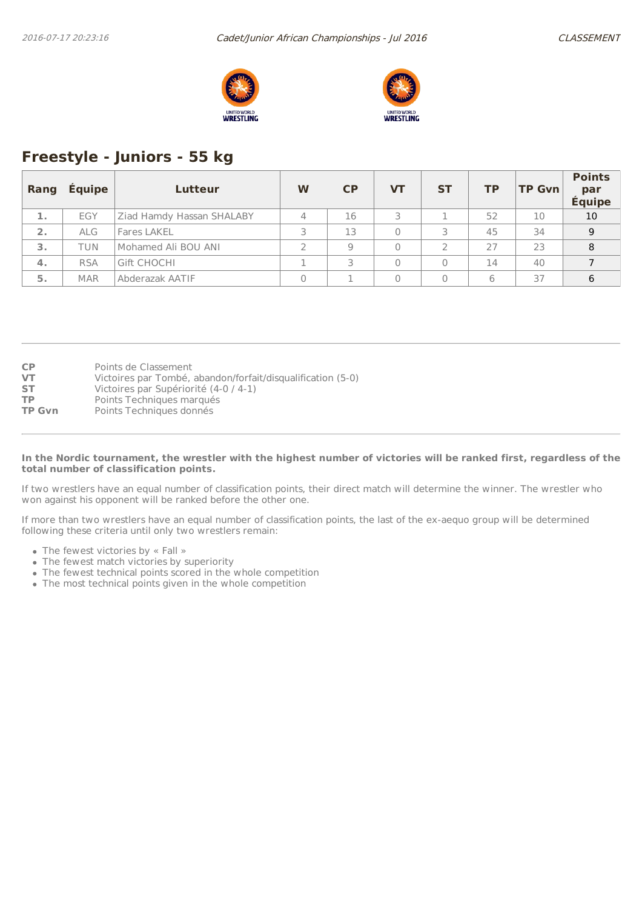



## **Freestyle - Juniors - 55 kg**

| Rang | Équipe     | Lutteur                   | W | <b>CP</b> | VТ | <b>ST</b> | <b>TP</b> | <b>TP Gvn</b> | <b>Points</b><br>par<br>Équipe |
|------|------------|---------------------------|---|-----------|----|-----------|-----------|---------------|--------------------------------|
| 1.   | EGY        | Ziad Hamdy Hassan SHALABY |   | 16        |    |           | 52        | 10            | 10                             |
| 2.   | <b>ALG</b> | <b>Fares LAKEL</b>        |   | 13        |    |           | 45        | 34            |                                |
| 3.   | <b>TUN</b> | Mohamed Ali BOU ANI       |   | q         |    |           | 27        | 23            |                                |
| 4.   | <b>RSA</b> | <b>Gift CHOCHI</b>        |   |           |    |           | 14        | 40            |                                |
| 5.   | <b>MAR</b> | Abderazak AATIF           | 0 |           |    |           | 6         | 37            | b                              |

| <b>CP</b>     | Points de Classement                                        |
|---------------|-------------------------------------------------------------|
| <b>VT</b>     | Victoires par Tombé, abandon/forfait/disqualification (5-0) |
| <b>ST</b>     | Victoires par Supériorité (4-0 / 4-1)                       |
| <b>TP</b>     | Points Techniques marqués                                   |
| <b>TP Gvn</b> | Points Techniques donnés                                    |

### In the Nordic tournament, the wrestler with the highest number of victories will be ranked first, regardless of the **total number of classification points.**

If two wrestlers have an equal number of classification points, their direct match will determine the winner. The wrestler who won against his opponent will be ranked before the other one.

- The fewest victories by « Fall »
- The fewest match victories by superiority
- The fewest technical points scored in the whole competition
- The most technical points given in the whole competition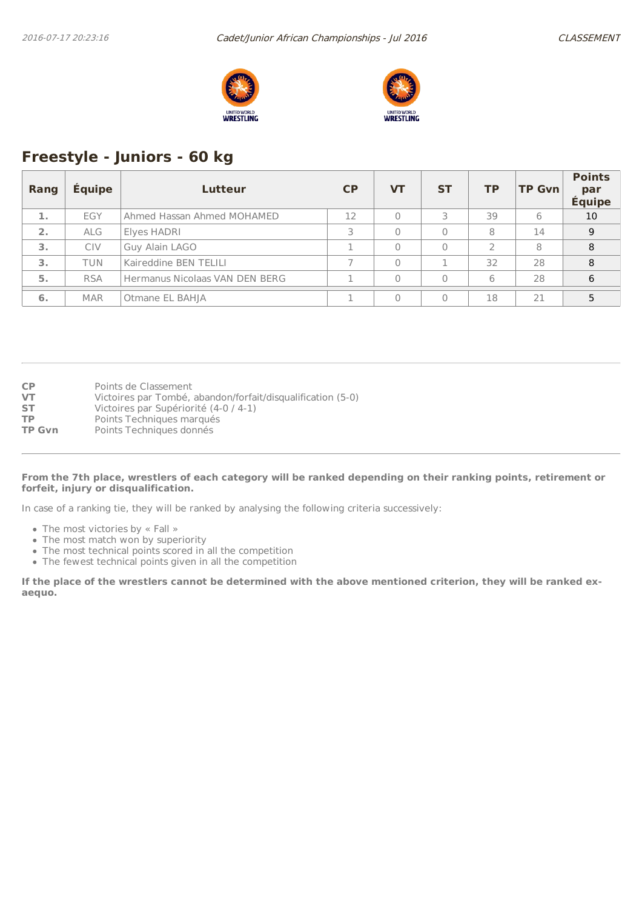



## **Freestyle - Juniors - 60 kg**

| Rang | Équipe     | Lutteur                        | <b>CP</b> | <b>VT</b> | <b>ST</b> | <b>TP</b> | <b>TP Gvn</b> | <b>Points</b><br>par<br><b>Équipe</b> |
|------|------------|--------------------------------|-----------|-----------|-----------|-----------|---------------|---------------------------------------|
|      | EGY        | Ahmed Hassan Ahmed MOHAMED     | 12        |           |           | 39        | 6             | 10                                    |
| 2.   | <b>ALG</b> | Elyes HADRI                    | 3         |           |           | 8         | 14            | 9                                     |
| 3.   | <b>CIV</b> | Guy Alain LAGO                 |           |           |           |           | 8             | 8                                     |
| 3.   | <b>TUN</b> | Kaireddine BEN TELILI          |           |           |           | 32        | 28            |                                       |
| 5.   | <b>RSA</b> | Hermanus Nicolaas VAN DEN BERG |           |           |           | 6         | 28            | 6                                     |
| 6.   | <b>MAR</b> | Otmane EL BAHJA                |           |           |           | 18        | 21            |                                       |

**CP** Points de Classement<br> **VIT** Victoires par Tombé. Victoires par Tombé, abandon/forfait/disqualification (5-0) **ST** Victoires par Supériorité (4-0 / 4-1)<br> **TP** Points Techniques marqués **TP** Points Techniques marqués<br> **TP Gvn** Points Techniques donnés Points Techniques donnés

### From the 7th place, wrestlers of each category will be ranked depending on their ranking points, retirement or **forfeit, injury or disqualification.**

In case of a ranking tie, they will be ranked by analysing the following criteria successively:

- The most victories by « Fall »
- The most match won by superiority
- The most technical points scored in all the competition
- The fewest technical points given in all the competition

If the place of the wrestlers cannot be determined with the above mentioned criterion, they will be ranked ex**aequo.**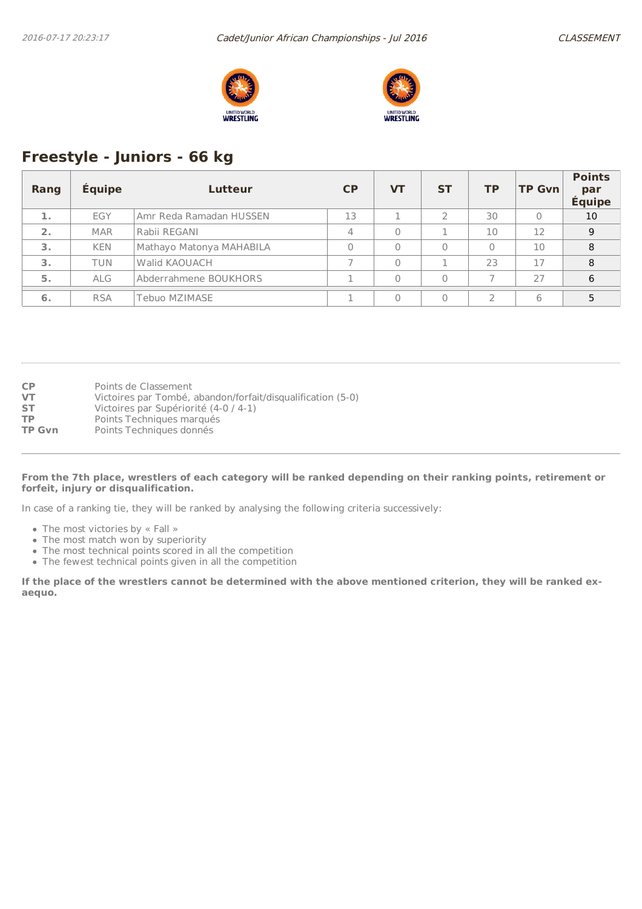



## **Freestyle - Juniors - 66 kg**

| Rang | <b>Équipe</b> | Lutteur                  | <b>CP</b> | <b>VT</b> | <b>ST</b> | <b>TP</b> | <b>TP Gvn</b> | <b>Points</b><br>par<br><b>Équipe</b> |
|------|---------------|--------------------------|-----------|-----------|-----------|-----------|---------------|---------------------------------------|
| 1.   | <b>EGY</b>    | Amr Reda Ramadan HUSSEN  | 13        |           |           | 30        |               | 10                                    |
| 2.   | <b>MAR</b>    | Rabii REGANI             | 4         |           |           | 10        | 12            | 9                                     |
| 3.   | <b>KEN</b>    | Mathayo Matonya MAHABILA |           |           |           |           | 10            | 8                                     |
| 3.   | <b>TUN</b>    | Walid KAOUACH            |           |           |           | 23        |               | 8                                     |
| 5.   | <b>ALG</b>    | Abderrahmene BOUKHORS    |           |           |           |           | 27            | 6                                     |
| 6.   | <b>RSA</b>    | Tebuo MZIMASE            |           |           |           |           | 6             |                                       |

**CP** Points de Classement<br> **VIT** Victoires par Tombé. Victoires par Tombé, abandon/forfait/disqualification (5-0) **ST** Victoires par Supériorité (4-0 / 4-1)<br> **TP** Points Techniques marqués **TP** Points Techniques marqués<br> **TP Gvn** Points Techniques donnés Points Techniques donnés

### From the 7th place, wrestlers of each category will be ranked depending on their ranking points, retirement or **forfeit, injury or disqualification.**

In case of a ranking tie, they will be ranked by analysing the following criteria successively:

- The most victories by « Fall »
- The most match won by superiority
- The most technical points scored in all the competition
- The fewest technical points given in all the competition

If the place of the wrestlers cannot be determined with the above mentioned criterion, they will be ranked ex**aequo.**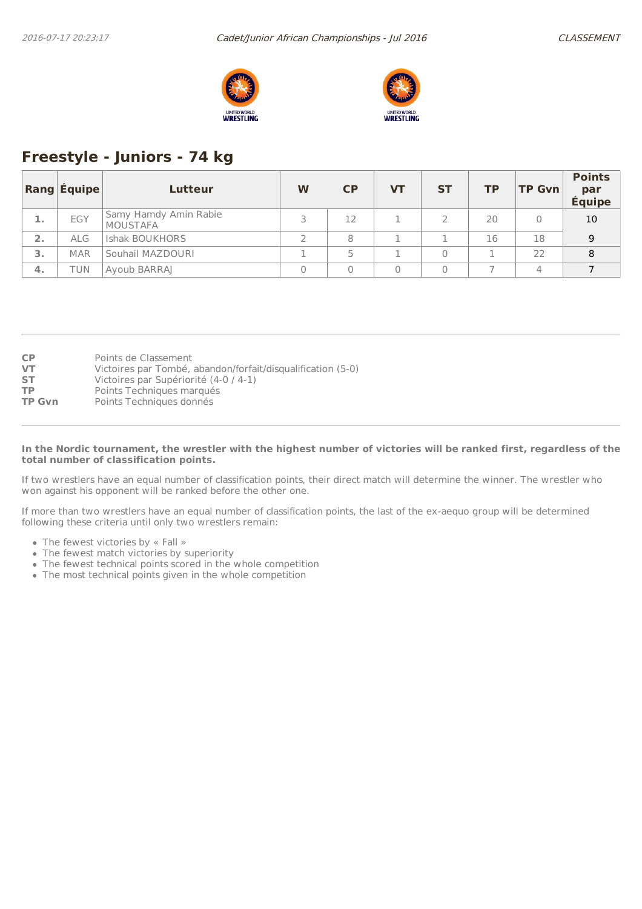



# **Freestyle - Juniors - 74 kg**

|              | <b>Rang</b> Équipe | Lutteur                                  | W | <b>CP</b> | VТ | <b>ST</b> | <b>TP</b> | <b>TP Gvn</b> | <b>Points</b><br>par<br>Équipe |
|--------------|--------------------|------------------------------------------|---|-----------|----|-----------|-----------|---------------|--------------------------------|
| 1.           | EGY                | Samy Hamdy Amin Rabie<br><b>MOUSTAFA</b> |   | 12        |    |           | 20        |               | 10                             |
| $\mathbf{2}$ | <b>ALG</b>         | <b>Ishak BOUKHORS</b>                    |   | 8         |    |           | 16        | 18            |                                |
| 3.           | <b>MAR</b>         | Souhail MAZDOURI                         |   |           |    |           |           | 22            |                                |
| 4.           | TUN                | Ayoub BARRAJ                             |   |           |    |           |           | 4             |                                |

| <b>CP</b>     | Points de Classement                                        |
|---------------|-------------------------------------------------------------|
| <b>VT</b>     | Victoires par Tombé, abandon/forfait/disqualification (5-0) |
| <b>ST</b>     | Victoires par Supériorité (4-0 / 4-1)                       |
| <b>TP</b>     | Points Techniques marqués                                   |
| <b>TP Gvn</b> | Points Techniques donnés                                    |

#### In the Nordic tournament, the wrestler with the highest number of victories will be ranked first, regardless of the **total number of classification points.**

If two wrestlers have an equal number of classification points, their direct match will determine the winner. The wrestler who won against his opponent will be ranked before the other one.

- The fewest victories by « Fall »
- The fewest match victories by superiority
- The fewest technical points scored in the whole competition
- The most technical points given in the whole competition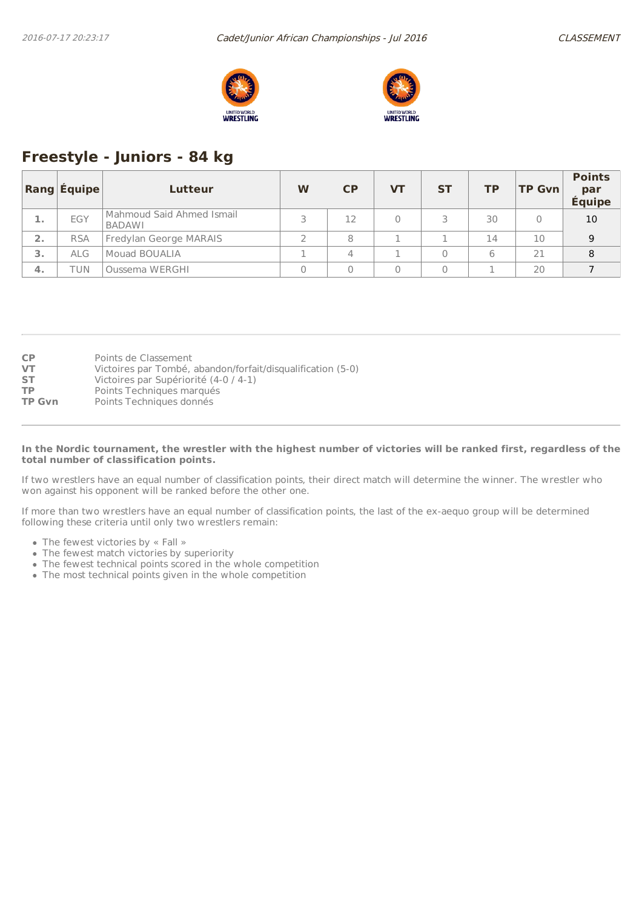



## **Freestyle - Juniors - 84 kg**

|                | <b>Rang</b> Équipe | Lutteur                                    | W | <b>CP</b> | VТ | <b>ST</b> | <b>TP</b> | <b>TP Gvn</b> | <b>Points</b><br>par<br>Équipe |
|----------------|--------------------|--------------------------------------------|---|-----------|----|-----------|-----------|---------------|--------------------------------|
| 1.             | EGY                | Mahmoud Said Ahmed Ismail<br><b>BADAWI</b> |   | 12        |    |           | 30        |               | 10                             |
| $\mathbf{2}$ . | <b>RSA</b>         | Fredylan George MARAIS                     |   | 8         |    |           | 14        | 10            | 9                              |
| 3.             | <b>ALG</b>         | Mouad BOUALIA                              |   | 4         |    |           | 6         | 21            | 8                              |
| 4.             | TUN                | Oussema WERGHI                             |   |           |    |           |           | 20            |                                |

| <b>CP</b>     | Points de Classement                                        |
|---------------|-------------------------------------------------------------|
| <b>VT</b>     | Victoires par Tombé, abandon/forfait/disqualification (5-0) |
| <b>ST</b>     | Victoires par Supériorité (4-0 / 4-1)                       |
| <b>TP</b>     | Points Techniques marqués                                   |
| <b>TP Gvn</b> | Points Techniques donnés                                    |

#### In the Nordic tournament, the wrestler with the highest number of victories will be ranked first, regardless of the **total number of classification points.**

If two wrestlers have an equal number of classification points, their direct match will determine the winner. The wrestler who won against his opponent will be ranked before the other one.

- The fewest victories by « Fall »
- The fewest match victories by superiority
- The fewest technical points scored in the whole competition
- The most technical points given in the whole competition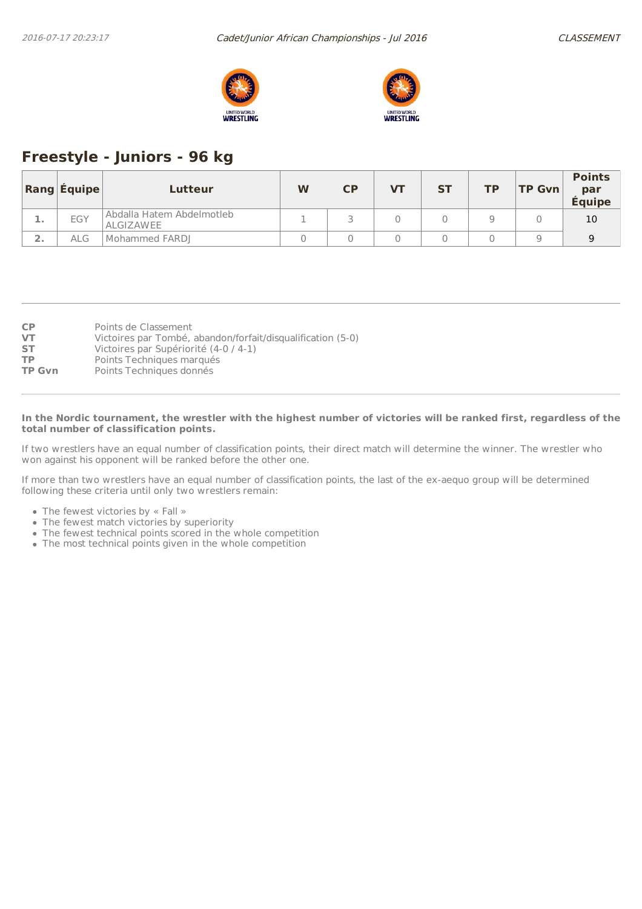



## **Freestyle - Juniors - 96 kg**

|              | $ $ Rang $ $ Équipe $ $ | Lutteur                                | W | <b>CP</b> | <b>ST</b> | <b>TP</b> | <b>TP Gvn</b> | <b>Points</b><br>par<br>Équipe |
|--------------|-------------------------|----------------------------------------|---|-----------|-----------|-----------|---------------|--------------------------------|
| alle su      | EGY                     | Abdalla Hatem Abdelmotleb<br>ALGIZAWEE |   |           |           |           |               | 10                             |
| $\mathbf{2}$ | <b>ALG</b>              | Mohammed FARDI                         |   |           |           |           |               |                                |

| <b>CP</b>     | Points de Classement                                        |
|---------------|-------------------------------------------------------------|
| <b>VT</b>     | Victoires par Tombé, abandon/forfait/disqualification (5-0) |
| <b>ST</b>     | Victoires par Supériorité (4-0 / 4-1)                       |
| TP            | Points Techniques marqués                                   |
| <b>TP Gvn</b> | Points Techniques donnés                                    |

### In the Nordic tournament, the wrestler with the highest number of victories will be ranked first, regardless of the **total number of classification points.**

If two wrestlers have an equal number of classification points, their direct match will determine the winner. The wrestler who won against his opponent will be ranked before the other one.

- The fewest victories by « Fall »
- The fewest match victories by superiority
- The fewest technical points scored in the whole competition
- The most technical points given in the whole competition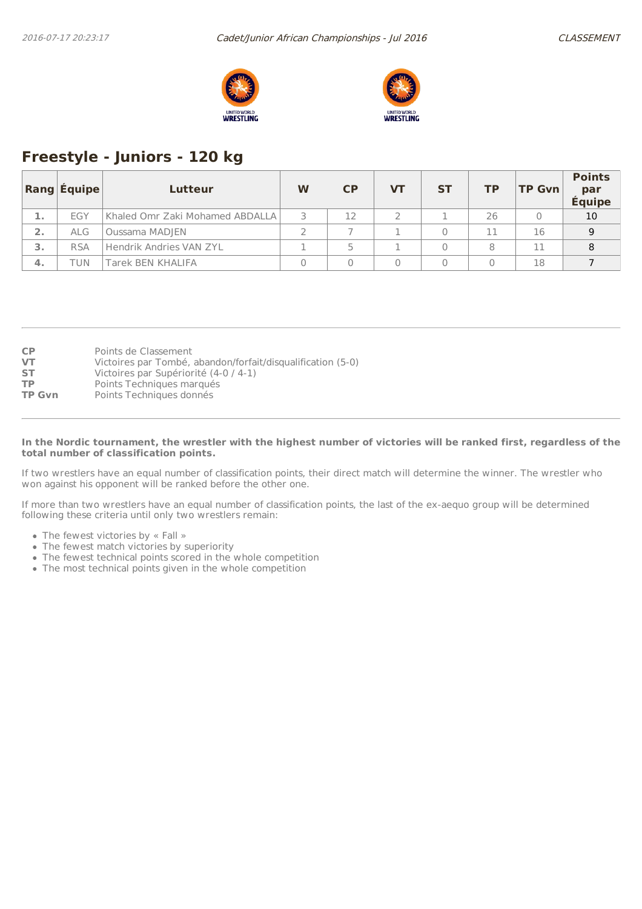



# **Freestyle - Juniors - 120 kg**

|                  | Rang Equipe | Lutteur                         | W | <b>CP</b> | VТ | <b>ST</b> | ТP | <b>TP Gvn</b> | <b>Points</b><br>par<br>Équipe |
|------------------|-------------|---------------------------------|---|-----------|----|-----------|----|---------------|--------------------------------|
| 1.               | EGY         | Khaled Omr Zaki Mohamed ABDALLA | ⊃ | 12        |    |           | 26 |               | 10                             |
| $\overline{2}$ . | <b>ALG</b>  | Oussama MADJEN                  |   |           |    |           |    | 16            |                                |
| з.               | <b>RSA</b>  | <b>Hendrik Andries VAN ZYL</b>  |   |           |    |           |    |               |                                |
| 4.               | <b>TUN</b>  | <b>Tarek BEN KHALIFA</b>        |   |           |    |           |    | 18            |                                |

| <b>CP</b><br><b>VT</b> | Points de Classement<br>Victoires par Tombé, abandon/forfait/disqualification (5-0) |
|------------------------|-------------------------------------------------------------------------------------|
| <b>ST</b>              | Victoires par Supériorité (4-0 / 4-1)                                               |
| TP.                    | Points Techniques marqués                                                           |
| <b>TP Gvn</b>          | Points Techniques donnés                                                            |

#### In the Nordic tournament, the wrestler with the highest number of victories will be ranked first, regardless of the **total number of classification points.**

If two wrestlers have an equal number of classification points, their direct match will determine the winner. The wrestler who won against his opponent will be ranked before the other one.

- The fewest victories by « Fall »
- The fewest match victories by superiority
- The fewest technical points scored in the whole competition
- The most technical points given in the whole competition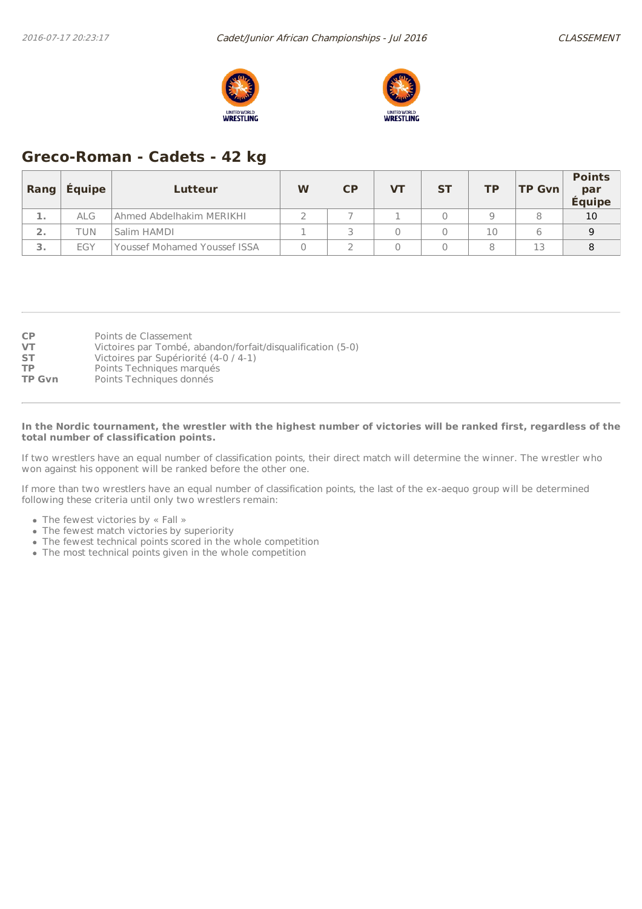



## **Greco-Roman - Cadets - 42 kg**

| Rang  | <b>Équipe</b> | Lutteur                             | W | <b>CP</b> | VТ | <b>ST</b> | ТP | <b>TP Gvn</b> | <b>Points</b><br>par<br>Équipe |
|-------|---------------|-------------------------------------|---|-----------|----|-----------|----|---------------|--------------------------------|
| dia s | ALG.          | Ahmed Abdelhakim MERIKHI            |   |           |    |           |    |               | 10                             |
| 2.    | <b>TUN</b>    | ı Salim HAMDI                       |   |           |    |           | 10 |               |                                |
| 3.    | EGY           | <b>Youssef Mohamed Youssef ISSA</b> |   |           |    |           |    |               |                                |

| <b>CP</b><br>VT<br><b>ST</b><br>ТP | Points de Classement<br>Victoires par Tombé, abandon/forfait/disqualification (5-0)<br>Victoires par Supériorité (4-0 / 4-1)<br>Points Techniques marqués |
|------------------------------------|-----------------------------------------------------------------------------------------------------------------------------------------------------------|
| <b>TP Gvn</b>                      | Points Techniques donnés                                                                                                                                  |
|                                    |                                                                                                                                                           |

### In the Nordic tournament, the wrestler with the highest number of victories will be ranked first, regardless of the **total number of classification points.**

If two wrestlers have an equal number of classification points, their direct match will determine the winner. The wrestler who won against his opponent will be ranked before the other one.

- The fewest victories by « Fall »
- The fewest match victories by superiority
- The fewest technical points scored in the whole competition
- The most technical points given in the whole competition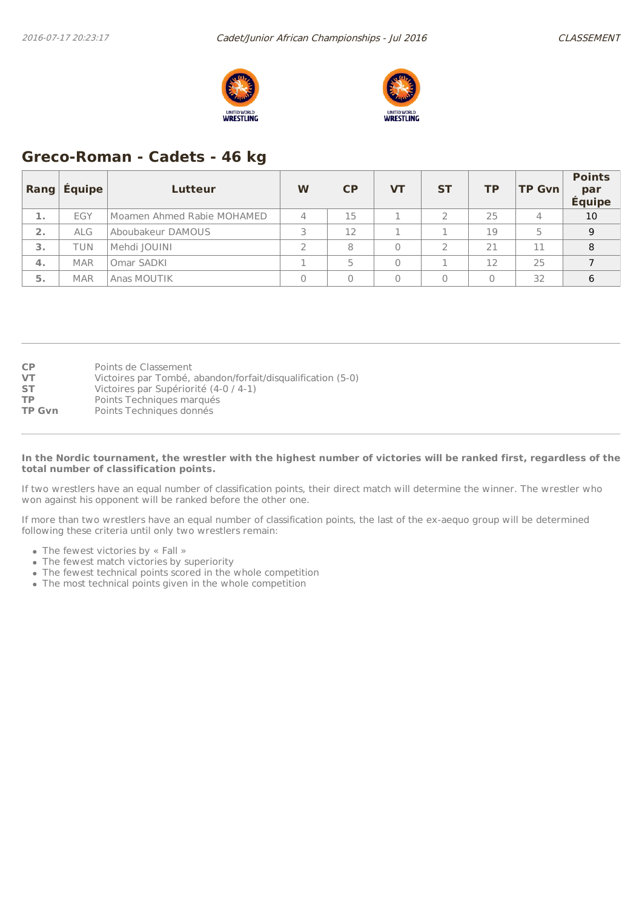



## **Greco-Roman - Cadets - 46 kg**

| Rang | Équipe     | Lutteur                    | W | <b>CP</b> | VТ | <b>ST</b> | <b>TP</b> | <b>TP Gvn</b> | <b>Points</b><br>par<br><b>Équipe</b> |
|------|------------|----------------------------|---|-----------|----|-----------|-----------|---------------|---------------------------------------|
| 1.   | EGY        | Moamen Ahmed Rabie MOHAMED | 4 | 15        |    |           | 25        | 4             | 10                                    |
| 2.   | <b>ALG</b> | Aboubakeur DAMOUS          |   | 12        |    |           | 19        |               |                                       |
| з.   | TUN        | Mehdi JOUINI               |   | 8         |    |           | 21        | 11            |                                       |
| 4.   | <b>MAR</b> | Omar SADKI                 |   |           |    |           | 12        | 25            |                                       |
| 5.   | <b>MAR</b> | Anas MOUTIK                |   |           |    |           |           | 32            |                                       |

| <b>CP</b>     | Points de Classement                                        |
|---------------|-------------------------------------------------------------|
| <b>VT</b>     | Victoires par Tombé, abandon/forfait/disqualification (5-0) |
| <b>ST</b>     | Victoires par Supériorité (4-0 / 4-1)                       |
| <b>TP</b>     | Points Techniques marqués                                   |
| <b>TP Gvn</b> | Points Techniques donnés                                    |

### In the Nordic tournament, the wrestler with the highest number of victories will be ranked first, regardless of the **total number of classification points.**

If two wrestlers have an equal number of classification points, their direct match will determine the winner. The wrestler who won against his opponent will be ranked before the other one.

- The fewest victories by « Fall »
- The fewest match victories by superiority
- The fewest technical points scored in the whole competition
- The most technical points given in the whole competition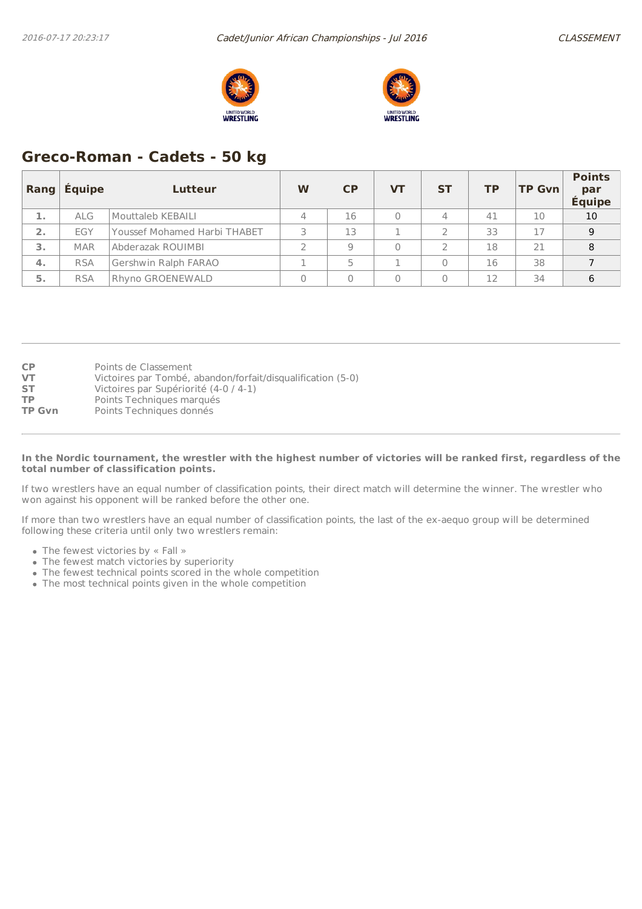



## **Greco-Roman - Cadets - 50 kg**

| Rang             | Équipe     | Lutteur                      | W        | <b>CP</b> | VТ | <b>ST</b> | <b>TP</b> | <b>TP Gvn</b> | <b>Points</b><br>par<br><b>Équipe</b> |
|------------------|------------|------------------------------|----------|-----------|----|-----------|-----------|---------------|---------------------------------------|
| 1.               | <b>ALG</b> | Mouttaleb KEBAILI            |          | 16        |    | 4         | 41        | 10            | 10                                    |
| $\overline{2}$ . | EGY        | Youssef Mohamed Harbi THABET |          | 13        |    |           | 33        | 17            |                                       |
| 3.               | <b>MAR</b> | Abderazak ROUIMBI            |          | Q         |    |           | 18        | 21            |                                       |
| 4.               | <b>RSA</b> | Gershwin Ralph FARAO         |          |           |    |           | 16        | 38            |                                       |
| 5.               | <b>RSA</b> | Rhyno GROENEWALD             | $\Omega$ |           |    |           | 12        | 34            |                                       |

| <b>CP</b>     | Points de Classement                                        |
|---------------|-------------------------------------------------------------|
| <b>VT</b>     | Victoires par Tombé, abandon/forfait/disqualification (5-0) |
| <b>ST</b>     | Victoires par Supériorité (4-0 / 4-1)                       |
| <b>TP</b>     | Points Techniques marqués                                   |
| <b>TP Gvn</b> | Points Techniques donnés                                    |

### In the Nordic tournament, the wrestler with the highest number of victories will be ranked first, regardless of the **total number of classification points.**

If two wrestlers have an equal number of classification points, their direct match will determine the winner. The wrestler who won against his opponent will be ranked before the other one.

- The fewest victories by « Fall »
- The fewest match victories by superiority
- The fewest technical points scored in the whole competition
- The most technical points given in the whole competition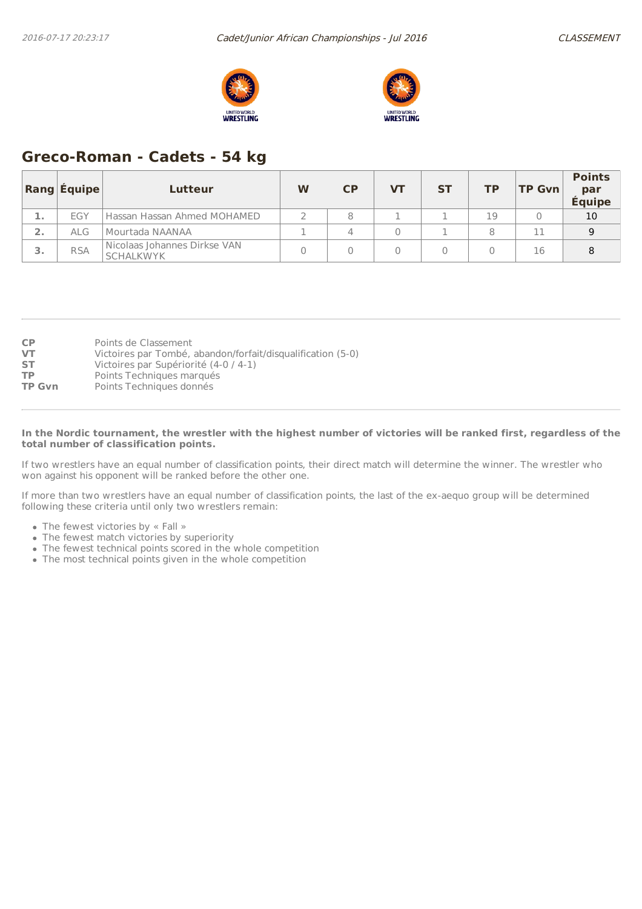



### **Greco-Roman - Cadets - 54 kg**

|      | Rang Equipe | Lutteur                                          | W | <b>CP</b> | VТ | <b>ST</b> | <b>TP</b> | <b>TP Gvn</b> | <b>Points</b><br>par<br>Équipe |
|------|-------------|--------------------------------------------------|---|-----------|----|-----------|-----------|---------------|--------------------------------|
| a. . | EGY         | Hassan Hassan Ahmed MOHAMED                      |   |           |    |           | 19        |               | 10                             |
| 2.   | <b>ALG</b>  | Mourtada NAANAA                                  |   |           |    |           |           |               |                                |
| 3.   | <b>RSA</b>  | Nicolaas Johannes Dirkse VAN<br><b>SCHALKWYK</b> |   |           |    |           |           | 16            |                                |

| $\mathsf{C}\mathsf{P}$ | Points de Classement                                        |
|------------------------|-------------------------------------------------------------|
| VT                     | Victoires par Tombé, abandon/forfait/disqualification (5-0) |
| <b>ST</b>              | Victoires par Supériorité (4-0 / 4-1)                       |
| ТP                     | Points Techniques marqués                                   |
| <b>TP Gvn</b>          | Points Techniques donnés                                    |

### In the Nordic tournament, the wrestler with the highest number of victories will be ranked first, regardless of the **total number of classification points.**

If two wrestlers have an equal number of classification points, their direct match will determine the winner. The wrestler who won against his opponent will be ranked before the other one.

- The fewest victories by « Fall »
- The fewest match victories by superiority
- The fewest technical points scored in the whole competition
- The most technical points given in the whole competition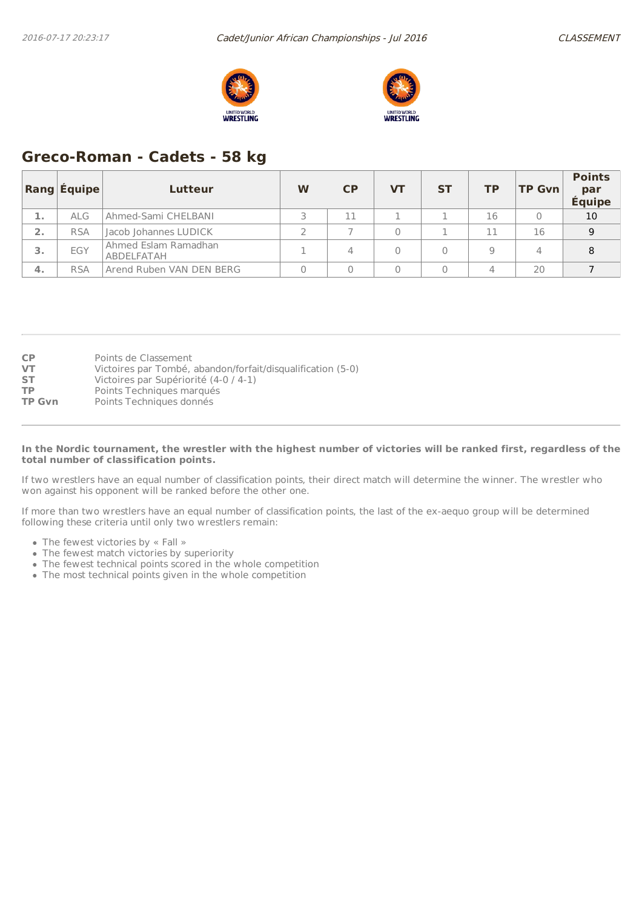



### **Greco-Roman - Cadets - 58 kg**

|                  | Rang Equipe | Lutteur                            | W | <b>CP</b> | VТ | <b>ST</b> | ТP | <b>TP Gvn</b> | <b>Points</b><br>par<br>Équipe |
|------------------|-------------|------------------------------------|---|-----------|----|-----------|----|---------------|--------------------------------|
| 1.               | ALG.        | Ahmed-Sami CHELBANI                |   | 11        |    |           | 16 |               | 10                             |
| 2.               | <b>RSA</b>  | Jacob Johannes LUDICK              |   |           |    |           |    | 16            |                                |
| З.               | EGY         | Ahmed Eslam Ramadhan<br>ABDELFATAH |   |           |    |           |    |               |                                |
| $\overline{4}$ . | <b>RSA</b>  | Arend Ruben VAN DEN BERG           |   |           |    |           |    | 20            |                                |

| <b>CP</b><br><b>VT</b> | Points de Classement<br>Victoires par Tombé, abandon/forfait/disqualification (5-0) |
|------------------------|-------------------------------------------------------------------------------------|
| <b>ST</b><br><b>TP</b> | Victoires par Supériorité (4-0 / 4-1)                                               |
| <b>TP Gvn</b>          | Points Techniques marqués<br>Points Techniques donnés                               |

#### In the Nordic tournament, the wrestler with the highest number of victories will be ranked first, regardless of the **total number of classification points.**

If two wrestlers have an equal number of classification points, their direct match will determine the winner. The wrestler who won against his opponent will be ranked before the other one.

- The fewest victories by « Fall »
- The fewest match victories by superiority
- The fewest technical points scored in the whole competition
- The most technical points given in the whole competition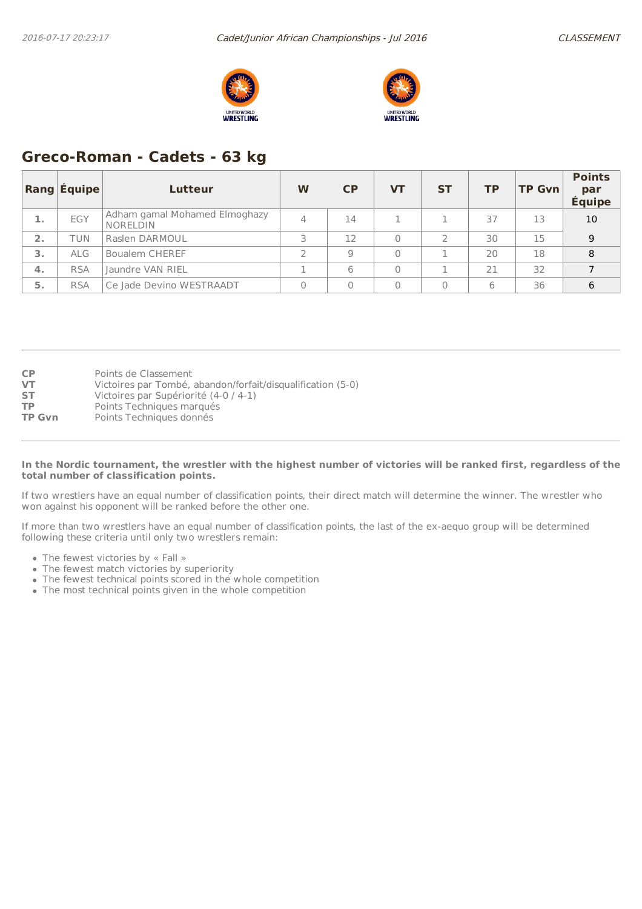



## **Greco-Roman - Cadets - 63 kg**

|                  | Rang Equipe | Lutteur                                          | W        | <b>CP</b> | VТ | <b>ST</b> | ТP | <b>TP Gvn</b> | <b>Points</b><br>par<br>Équipe |
|------------------|-------------|--------------------------------------------------|----------|-----------|----|-----------|----|---------------|--------------------------------|
| 1.               | EGY         | Adham gamal Mohamed Elmoghazy<br><b>NORELDIN</b> | 4        | 14        |    |           | 37 | 13            | 10                             |
| $\overline{2}$ . | TUN         | Raslen DARMOUL                                   |          | 12        |    |           | 30 | 15            | 9                              |
| з.               | <b>ALG</b>  | <b>Boualem CHEREF</b>                            |          | 9         |    |           | 20 | 18            |                                |
| 4.               | <b>RSA</b>  | Jaundre VAN RIEL                                 |          | 6         |    |           | 21 | 32            |                                |
| 5.               | <b>RSA</b>  | Ce Jade Devino WESTRAADT                         | $\Omega$ |           |    |           | 6  | 36            |                                |

| <b>CP</b>     | Points de Classement                                        |
|---------------|-------------------------------------------------------------|
| <b>VT</b>     | Victoires par Tombé, abandon/forfait/disqualification (5-0) |
| <b>ST</b>     | Victoires par Supériorité (4-0 / 4-1)                       |
| <b>TP</b>     | Points Techniques marqués                                   |
| <b>TP Gvn</b> | Points Techniques donnés                                    |
|               |                                                             |

### In the Nordic tournament, the wrestler with the highest number of victories will be ranked first, regardless of the **total number of classification points.**

If two wrestlers have an equal number of classification points, their direct match will determine the winner. The wrestler who won against his opponent will be ranked before the other one.

- The fewest victories by « Fall »
- The fewest match victories by superiority
- The fewest technical points scored in the whole competition
- The most technical points given in the whole competition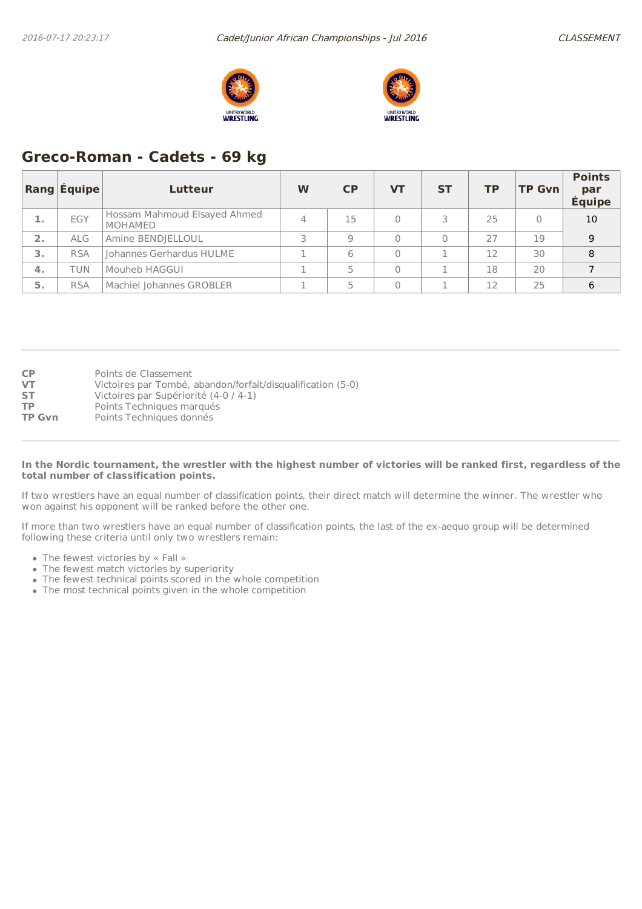



## **Greco-Roman - Cadets - 69 kg**

|                  | Rang Equipe | Lutteur                                 | W | <b>CP</b> | <b>VT</b> | <b>ST</b> | <b>TP</b> | <b>TP Gvn</b> | <b>Points</b><br>par<br><b>Équipe</b> |
|------------------|-------------|-----------------------------------------|---|-----------|-----------|-----------|-----------|---------------|---------------------------------------|
| 1.               | EGY         | Hossam Mahmoud Elsayed Ahmed<br>MOHAMED | 4 | 15        |           |           | 25        |               | 10                                    |
| $\overline{2}$ . | <b>ALG</b>  | Amine BENDJELLOUL                       |   | Q         |           |           | 27        | 19            |                                       |
| з.               | <b>RSA</b>  | Johannes Gerhardus HULME                |   | 6         |           |           | 12        | 30            |                                       |
| 4.               | TUN         | Mouheb HAGGUI                           |   |           |           |           | 18        | 20            |                                       |
| 5.               | <b>RSA</b>  | Machiel Johannes GROBLER                |   |           |           |           |           | 25            |                                       |

| <b>CP</b>     | Points de Classement                                        |
|---------------|-------------------------------------------------------------|
| <b>VT</b>     | Victoires par Tombé, abandon/forfait/disqualification (5-0) |
| <b>ST</b>     | Victoires par Supériorité (4-0 / 4-1)                       |
| <b>TP</b>     | Points Techniques marqués                                   |
| <b>TP Gvn</b> | Points Techniques donnés                                    |
|               |                                                             |

### In the Nordic tournament, the wrestler with the highest number of victories will be ranked first, regardless of the **total number of classification points.**

If two wrestlers have an equal number of classification points, their direct match will determine the winner. The wrestler who won against his opponent will be ranked before the other one.

- The fewest victories by « Fall »
- The fewest match victories by superiority
- The fewest technical points scored in the whole competition
- The most technical points given in the whole competition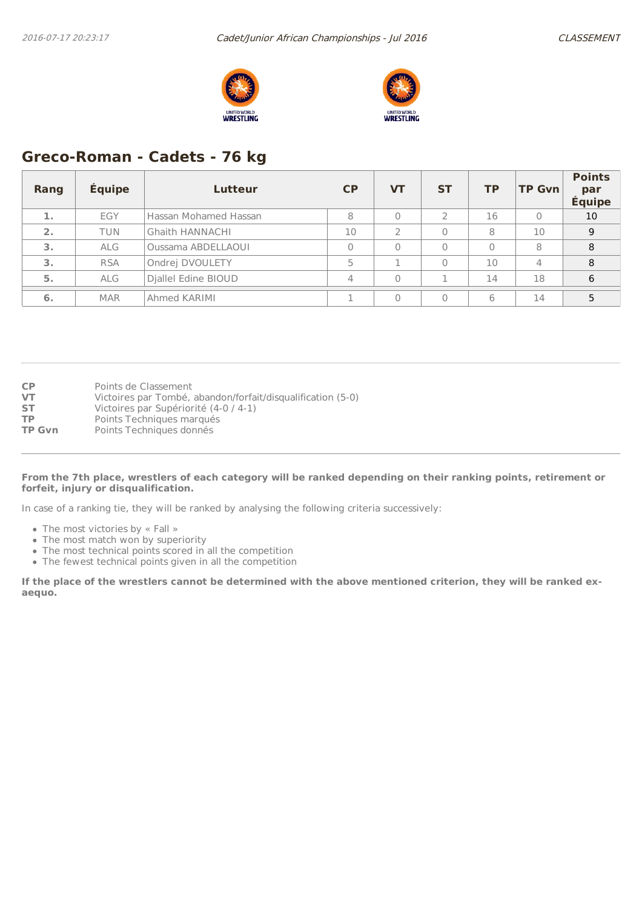



### **Greco-Roman - Cadets - 76 kg**

| Rang | <b>Équipe</b> | Lutteur                | <b>CP</b> | <b>VT</b> | <b>ST</b> | <b>TP</b> | <b>TP Gvn</b> | <b>Points</b><br>par<br>Équipe |
|------|---------------|------------------------|-----------|-----------|-----------|-----------|---------------|--------------------------------|
| 1.   | EGY           | Hassan Mohamed Hassan  | 8         |           |           | 16        |               | 10                             |
| 2.   | <b>TUN</b>    | <b>Ghaith HANNACHI</b> | 10        |           |           | 8         | 10            | 9                              |
| 3.   | <b>ALG</b>    | Oussama ABDELLAOUI     |           |           |           |           | 8             | 8                              |
| 3.   | <b>RSA</b>    | Ondrej DVOULETY        |           |           |           | 10        | 4             | 8                              |
| 5.   | <b>ALG</b>    | Djallel Edine BIOUD    | 4         |           |           | 14        | 18            | 6                              |
| 6.   | <b>MAR</b>    | Ahmed KARIMI           |           |           |           | 6         | 14            |                                |

**CP** Points de Classement<br> **VIT** Victoires par Tombé. Victoires par Tombé, abandon/forfait/disqualification (5-0) **ST** Victoires par Supériorité (4-0 / 4-1)<br> **TP** Points Techniques marqués **TP** Points Techniques marqués<br> **TP Gvn** Points Techniques donnés Points Techniques donnés

### From the 7th place, wrestlers of each category will be ranked depending on their ranking points, retirement or **forfeit, injury or disqualification.**

In case of a ranking tie, they will be ranked by analysing the following criteria successively:

- The most victories by « Fall »
- The most match won by superiority
- The most technical points scored in all the competition
- The fewest technical points given in all the competition

If the place of the wrestlers cannot be determined with the above mentioned criterion, they will be ranked ex**aequo.**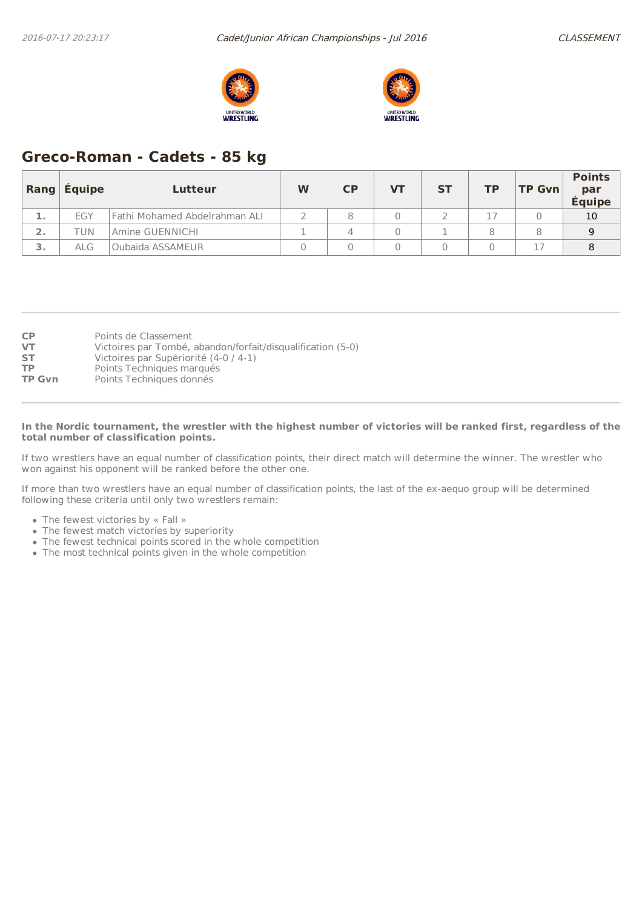



### **Greco-Roman - Cadets - 85 kg**

| Rang    | Équipe     | Lutteur                       | W | <b>CP</b> | VТ | <b>ST</b> | ТP | <b>TP Gvn</b> | <b>Points</b><br>par<br>Équipe |
|---------|------------|-------------------------------|---|-----------|----|-----------|----|---------------|--------------------------------|
| alle su | EGY        | Fathi Mohamed Abdelrahman ALI |   |           |    |           |    |               | 10                             |
| 2.      | TUN        | Amine GUENNICHI               |   |           |    |           |    |               |                                |
| 3.      | <b>ALG</b> | Oubaida ASSAMEUR              |   |           |    |           |    |               |                                |

| <b>CP</b>     | Points de Classement                                        |
|---------------|-------------------------------------------------------------|
| <b>VT</b>     | Victoires par Tombé, abandon/forfait/disqualification (5-0) |
| <b>ST</b>     | Victoires par Supériorité (4-0 / 4-1)                       |
| TP            | Points Techniques marqués                                   |
| <b>TP Gvn</b> | Points Techniques donnés                                    |

### In the Nordic tournament, the wrestler with the highest number of victories will be ranked first, regardless of the **total number of classification points.**

If two wrestlers have an equal number of classification points, their direct match will determine the winner. The wrestler who won against his opponent will be ranked before the other one.

- The fewest victories by « Fall »
- The fewest match victories by superiority
- The fewest technical points scored in the whole competition
- The most technical points given in the whole competition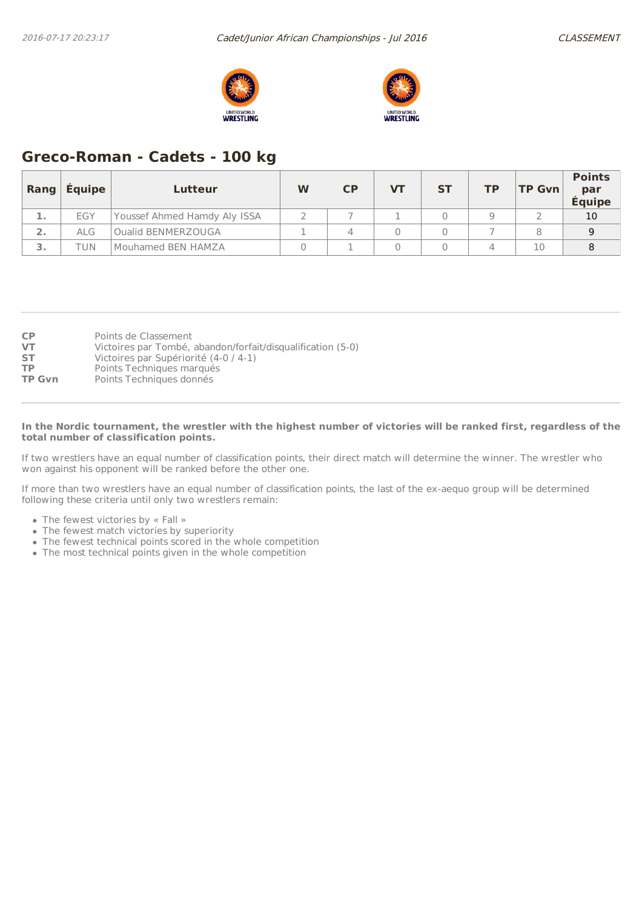



## **Greco-Roman - Cadets - 100 kg**

| Rang  | <b>Équipe</b> | Lutteur                      | W | <b>CP</b> | VТ | <b>ST</b> | ТP | <b>TP Gvn</b> | <b>Points</b><br>par<br>Équipe |
|-------|---------------|------------------------------|---|-----------|----|-----------|----|---------------|--------------------------------|
| dia s | EGY           | Youssef Ahmed Hamdy Aly ISSA |   |           |    |           |    |               | 10                             |
| 2.    | ALG.          | Oualid BENMERZOUGA           |   |           |    |           |    |               |                                |
| 3.    | TUN           | Mouhamed BEN HAMZA           |   |           |    |           |    | 10            |                                |

| <b>CP</b><br>VT<br><b>ST</b><br>ТP | Points de Classement<br>Victoires par Tombé, abandon/forfait/disqualification (5-0)<br>Victoires par Supériorité (4-0 / 4-1)<br>Points Techniques marqués |
|------------------------------------|-----------------------------------------------------------------------------------------------------------------------------------------------------------|
|                                    |                                                                                                                                                           |
| <b>TP Gvn</b>                      | Points Techniques donnés                                                                                                                                  |

### In the Nordic tournament, the wrestler with the highest number of victories will be ranked first, regardless of the **total number of classification points.**

If two wrestlers have an equal number of classification points, their direct match will determine the winner. The wrestler who won against his opponent will be ranked before the other one.

- The fewest victories by « Fall »
- The fewest match victories by superiority
- The fewest technical points scored in the whole competition
- The most technical points given in the whole competition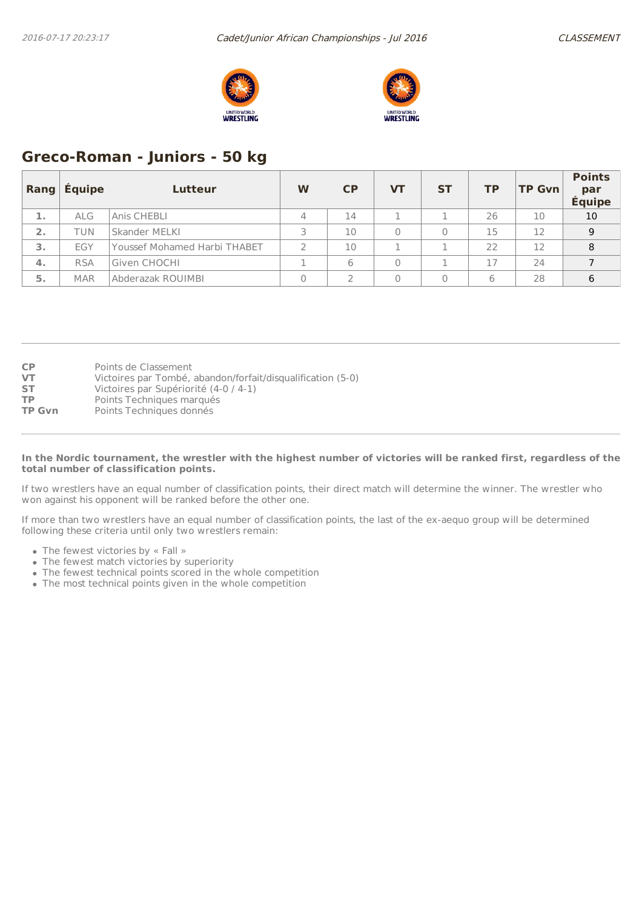



## **Greco-Roman - Juniors - 50 kg**

| Rang | Équipe     | Lutteur                      | W | <b>CP</b> | VТ | <b>ST</b> | <b>TP</b> | <b>TP Gvn</b> | <b>Points</b><br>par<br><b>Équipe</b> |
|------|------------|------------------------------|---|-----------|----|-----------|-----------|---------------|---------------------------------------|
| 1.   | <b>ALG</b> | Anis CHEBLI                  |   | 14        |    |           | 26        | 10            | 10                                    |
| 2.   | TUN        | Skander MELKI                |   | 10        |    |           | 15        | 12            |                                       |
| 3.   | EGY        | Youssef Mohamed Harbi THABET |   | 10        |    |           | 22        | 12            |                                       |
| 4.   | <b>RSA</b> | Given CHOCHI                 |   | 6         |    |           | 17        | 24            |                                       |
| 5.   | <b>MAR</b> | Abderazak ROUIMBI            |   |           |    |           | 6         | 28            |                                       |

| <b>CP</b>     | Points de Classement                                        |
|---------------|-------------------------------------------------------------|
| <b>VT</b>     | Victoires par Tombé, abandon/forfait/disqualification (5-0) |
| <b>ST</b>     | Victoires par Supériorité (4-0 / 4-1)                       |
| <b>TP</b>     | Points Techniques marqués                                   |
| <b>TP Gvn</b> | Points Techniques donnés                                    |

### In the Nordic tournament, the wrestler with the highest number of victories will be ranked first, regardless of the **total number of classification points.**

If two wrestlers have an equal number of classification points, their direct match will determine the winner. The wrestler who won against his opponent will be ranked before the other one.

- The fewest victories by « Fall »
- The fewest match victories by superiority
- The fewest technical points scored in the whole competition
- The most technical points given in the whole competition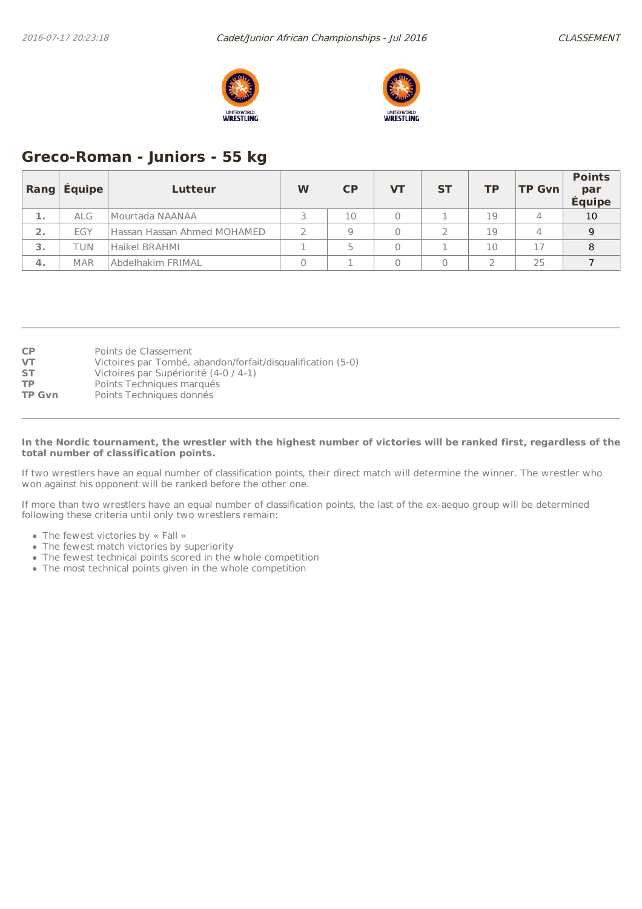



## **Greco-Roman - Juniors - 55 kg**

| Rang | Équipe     | Lutteur                     | W | <b>CP</b> | VТ | <b>ST</b> | TP | <b>TP Gvn</b> | <b>Points</b><br>par<br>Équipe |
|------|------------|-----------------------------|---|-----------|----|-----------|----|---------------|--------------------------------|
| 1.   | <b>ALG</b> | Mourtada NAANAA             |   | 10        |    |           | 19 |               | 10                             |
| 2.   | EGY        | Hassan Hassan Ahmed MOHAMED |   |           |    |           | 19 |               |                                |
| 3.   | TUN        | Haikel BRAHMI               |   |           |    |           | 10 |               |                                |
| 4.   | <b>MAR</b> | Abdelhakim FRIMAL           |   |           |    |           |    | 25            |                                |

| CP            | Points de Classement                                        |
|---------------|-------------------------------------------------------------|
| <b>VT</b>     | Victoires par Tombé, abandon/forfait/disqualification (5-0) |
| <b>ST</b>     | Victoires par Supériorité (4-0 / 4-1)                       |
| TP            | Points Techniques marqués                                   |
| <b>TP Gvn</b> | Points Techniques donnés                                    |

#### In the Nordic tournament, the wrestler with the highest number of victories will be ranked first, regardless of the **total number of classification points.**

If two wrestlers have an equal number of classification points, their direct match will determine the winner. The wrestler who won against his opponent will be ranked before the other one.

- The fewest victories by « Fall »
- The fewest match victories by superiority
- The fewest technical points scored in the whole competition
- The most technical points given in the whole competition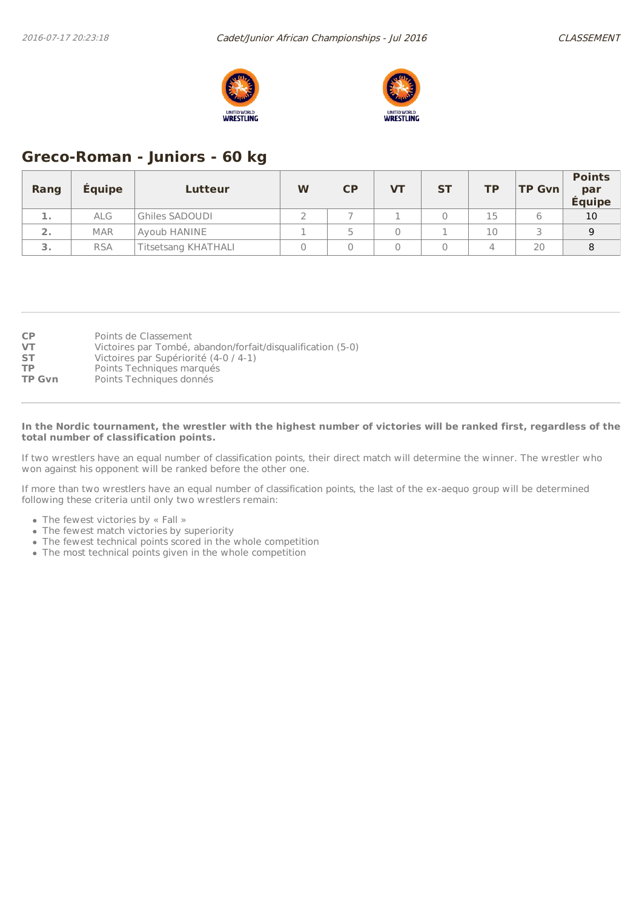



### **Greco-Roman - Juniors - 60 kg**

| Rang           | Équipe     | <b>Lutteur</b>        | W | CP | VT | <b>ST</b> | ТP | <b>TP Gvn</b> | <b>Points</b><br>par<br>Équipe |
|----------------|------------|-----------------------|---|----|----|-----------|----|---------------|--------------------------------|
| --             | <b>ALG</b> | <b>Ghiles SADOUDI</b> |   |    |    |           | 15 |               | 10                             |
| $\mathbf{2}$ . | <b>MAR</b> | Ayoub HANINE          |   |    |    |           | 10 |               |                                |
| 3.             | <b>RSA</b> | Titsetsang KHATHALI   |   |    |    |           |    | 20            |                                |

| $\mathsf{C}\mathsf{P}$<br>VT<br><b>ST</b><br>ТP | Points de Classement<br>Victoires par Tombé, abandon/forfait/disqualification (5-0)<br>Victoires par Supériorité (4-0 / 4-1)<br>Points Techniques marqués |
|-------------------------------------------------|-----------------------------------------------------------------------------------------------------------------------------------------------------------|
|                                                 |                                                                                                                                                           |
| <b>TP Gvn</b>                                   | Points Techniques donnés                                                                                                                                  |

### In the Nordic tournament, the wrestler with the highest number of victories will be ranked first, regardless of the **total number of classification points.**

If two wrestlers have an equal number of classification points, their direct match will determine the winner. The wrestler who won against his opponent will be ranked before the other one.

- The fewest victories by « Fall »
- The fewest match victories by superiority
- The fewest technical points scored in the whole competition
- The most technical points given in the whole competition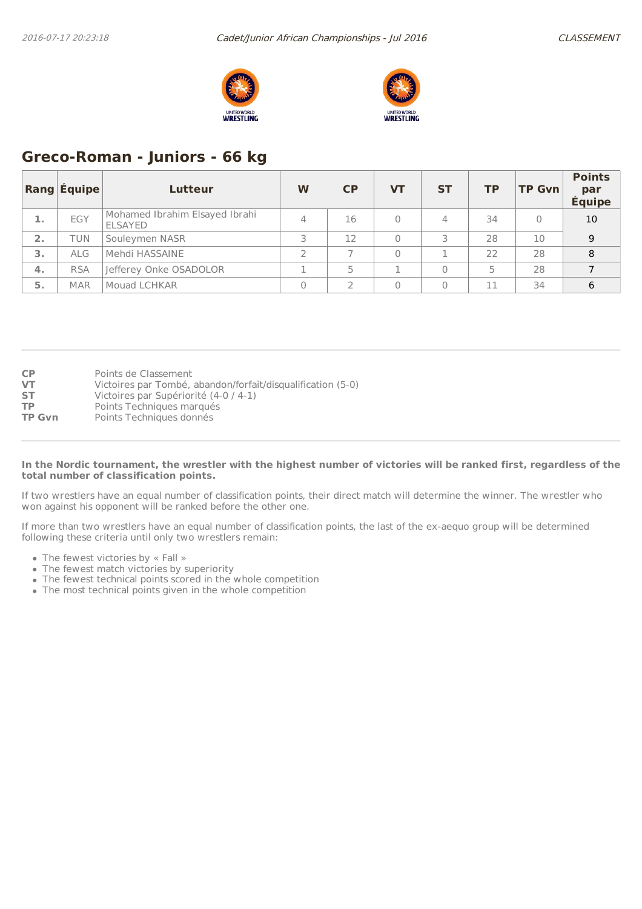



## **Greco-Roman - Juniors - 66 kg**

|    | Rang Equipe | Lutteur                                          | W        | <b>CP</b> | VТ | <b>ST</b> | TP | <b>TP Gvn</b> | <b>Points</b><br>par<br>Équipe |
|----|-------------|--------------------------------------------------|----------|-----------|----|-----------|----|---------------|--------------------------------|
| 1. | EGY         | Mohamed Ibrahim Elsayed Ibrahi<br><b>ELSAYED</b> | 4        | 16        |    | 4         | 34 |               | 10                             |
| 2. | <b>TUN</b>  | Souleymen NASR                                   |          | 12        |    |           | 28 | 10            | 9                              |
| з. | <b>ALG</b>  | Mehdi HASSAINE                                   |          |           |    |           | 22 | 28            | 8                              |
| 4. | <b>RSA</b>  | Jefferey Onke OSADOLOR                           |          |           |    |           | 5  | 28            |                                |
| 5. | <b>MAR</b>  | Mouad LCHKAR                                     | $\Omega$ | C         | 0  |           | 11 | 34            |                                |

| <b>CP</b>     | Points de Classement                                        |
|---------------|-------------------------------------------------------------|
| <b>VT</b>     | Victoires par Tombé, abandon/forfait/disqualification (5-0) |
| <b>ST</b>     | Victoires par Supériorité (4-0 / 4-1)                       |
| <b>TP</b>     | Points Techniques marqués                                   |
| <b>TP Gvn</b> | Points Techniques donnés                                    |
|               |                                                             |

### In the Nordic tournament, the wrestler with the highest number of victories will be ranked first, regardless of the **total number of classification points.**

If two wrestlers have an equal number of classification points, their direct match will determine the winner. The wrestler who won against his opponent will be ranked before the other one.

- The fewest victories by « Fall »
- The fewest match victories by superiority
- The fewest technical points scored in the whole competition
- The most technical points given in the whole competition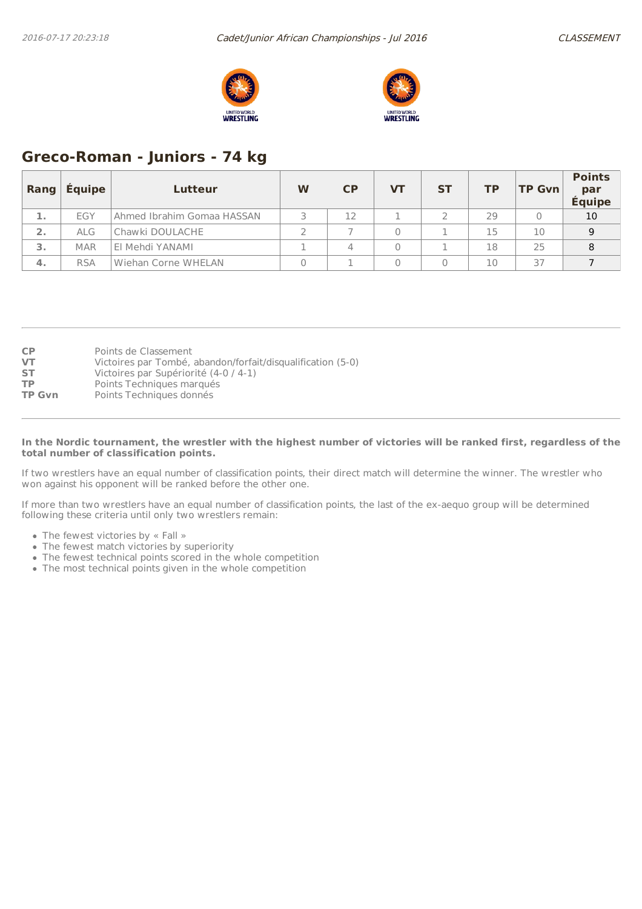



## **Greco-Roman - Juniors - 74 kg**

| Rang | Équipe     | Lutteur                    | W | <b>CP</b> | VТ | <b>ST</b> | ТP | <b>TP Gvn</b> | <b>Points</b><br>par<br>Équipe |
|------|------------|----------------------------|---|-----------|----|-----------|----|---------------|--------------------------------|
| 1.   | EGY        | Ahmed Ibrahim Gomaa HASSAN |   | 12        |    |           | 29 |               | 10                             |
| 2.   | <b>ALG</b> | Chawki DOULACHE            |   |           |    |           | 15 | 10            |                                |
| 3.   | <b>MAR</b> | I El Mehdi YANAMI          |   |           |    |           | 18 | 25            |                                |
| 4.   | <b>RSA</b> | Wiehan Corne WHELAN        |   |           |    |           | 10 | 37            |                                |

| <b>CP</b><br><b>VT</b> | Points de Classement<br>Victoires par Tombé, abandon/forfait/disqualification (5-0) |
|------------------------|-------------------------------------------------------------------------------------|
| <b>ST</b>              | Victoires par Supériorité (4-0 / 4-1)                                               |
| TP                     | Points Techniques marqués                                                           |
| <b>TP Gvn</b>          | Points Techniques donnés                                                            |

#### In the Nordic tournament, the wrestler with the highest number of victories will be ranked first, regardless of the **total number of classification points.**

If two wrestlers have an equal number of classification points, their direct match will determine the winner. The wrestler who won against his opponent will be ranked before the other one.

- The fewest victories by « Fall »
- The fewest match victories by superiority
- The fewest technical points scored in the whole competition
- The most technical points given in the whole competition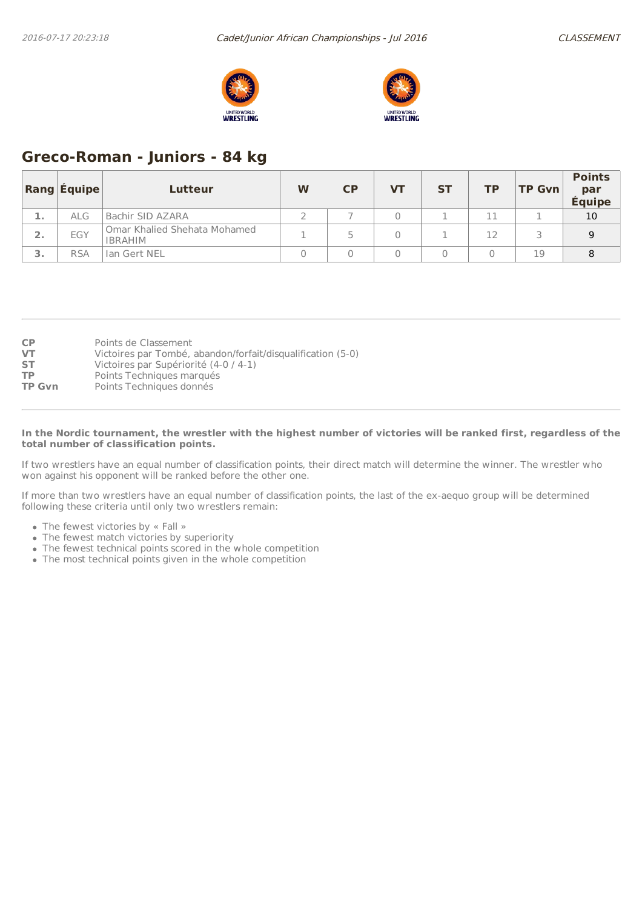



### **Greco-Roman - Juniors - 84 kg**

|      | <b>Rang</b> Équipe | Lutteur                                        | W | <b>CP</b> | VТ | <b>ST</b> | ТP | TP Gvn | <b>Points</b><br>par<br>Équipe |
|------|--------------------|------------------------------------------------|---|-----------|----|-----------|----|--------|--------------------------------|
| ak a | <b>ALG</b>         | Bachir SID AZARA                               |   |           |    |           |    |        | 10                             |
| 2.   | EGY                | Omar Khalied Shehata Mohamed<br><b>IBRAHIM</b> |   |           |    |           | 12 |        |                                |
| з.   | <b>RSA</b>         | Ian Gert NEL                                   |   |           |    |           |    | 19     |                                |

| $\mathsf{C}\mathsf{P}$ | Points de Classement                                        |
|------------------------|-------------------------------------------------------------|
| VT                     | Victoires par Tombé, abandon/forfait/disqualification (5-0) |
| <b>ST</b>              | Victoires par Supériorité (4-0 / 4-1)                       |
| ТP                     | Points Techniques marqués                                   |
| <b>TP Gvn</b>          | Points Techniques donnés                                    |

### In the Nordic tournament, the wrestler with the highest number of victories will be ranked first, regardless of the **total number of classification points.**

If two wrestlers have an equal number of classification points, their direct match will determine the winner. The wrestler who won against his opponent will be ranked before the other one.

- The fewest victories by « Fall »
- The fewest match victories by superiority
- The fewest technical points scored in the whole competition
- The most technical points given in the whole competition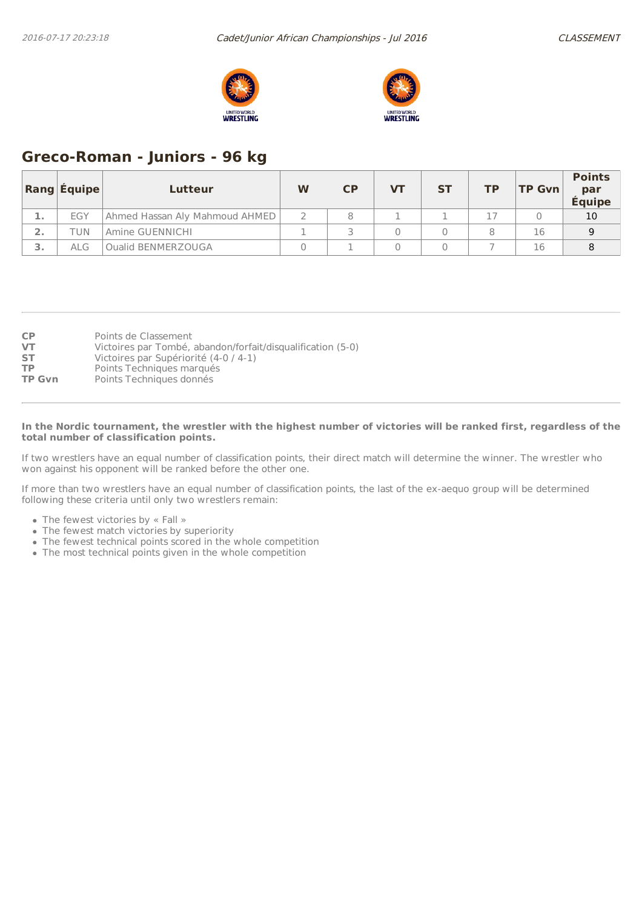



## **Greco-Roman - Juniors - 96 kg**

|                  | Rang Equipe | Lutteur                        | W | <b>CP</b> | VТ | <b>ST</b> | ТP | <b>TP Gvn</b> | <b>Points</b><br>par<br><b>Équipe</b> |
|------------------|-------------|--------------------------------|---|-----------|----|-----------|----|---------------|---------------------------------------|
| --               | EGY         | Ahmed Hassan Aly Mahmoud AHMED |   |           |    |           |    |               | 10                                    |
| $\overline{2}$ . | 'UN         | Amine GUENNICHI                |   |           |    |           |    | 16            |                                       |
| З.               | <b>ALG</b>  | <b>Oualid BENMERZOUGA</b>      |   |           |    |           |    | 16            |                                       |

| $\mathsf{C}\mathsf{P}$<br>VT<br><b>ST</b> | Points de Classement<br>Victoires par Tombé, abandon/forfait/disqualification (5-0)<br>Victoires par Supériorité (4-0 / 4-1) |
|-------------------------------------------|------------------------------------------------------------------------------------------------------------------------------|
| ТP                                        | Points Techniques marqués                                                                                                    |
| <b>TP Gvn</b>                             | Points Techniques donnés                                                                                                     |

### In the Nordic tournament, the wrestler with the highest number of victories will be ranked first, regardless of the **total number of classification points.**

If two wrestlers have an equal number of classification points, their direct match will determine the winner. The wrestler who won against his opponent will be ranked before the other one.

- The fewest victories by « Fall »
- The fewest match victories by superiority
- The fewest technical points scored in the whole competition
- The most technical points given in the whole competition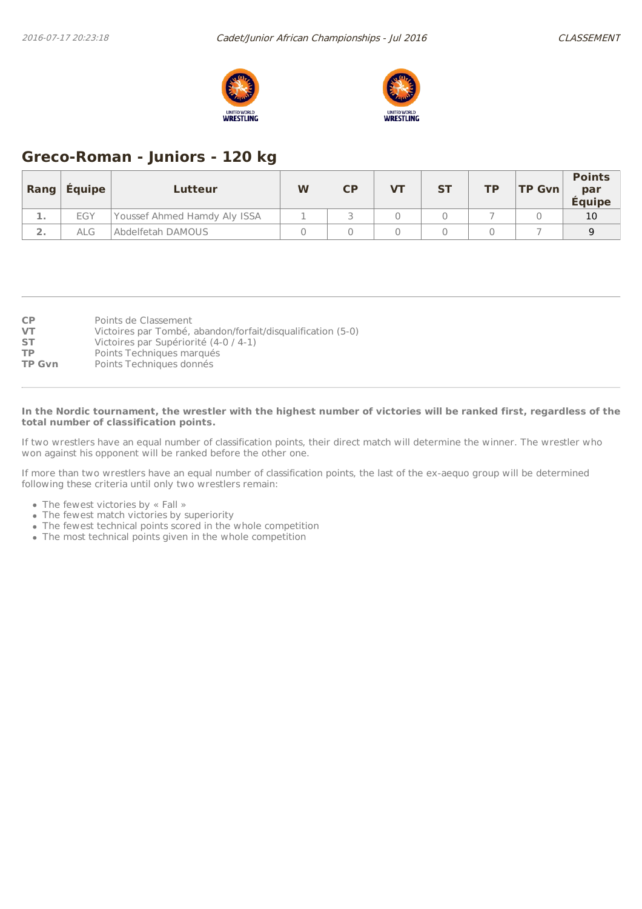



## **Greco-Roman - Juniors - 120 kg**

| Rang                           | <b>Équipe</b> | Lutteur                      | W | СP | <b>ST</b> | <b>TP</b> | <b>TP Gvn</b> | <b>Points</b><br>par<br><b>Équipe</b> |
|--------------------------------|---------------|------------------------------|---|----|-----------|-----------|---------------|---------------------------------------|
| dia s                          | EGY           | Youssef Ahmed Hamdy Aly ISSA |   |    |           |           |               | 10                                    |
| $\overline{\phantom{a}}$<br>۷. | ALG           | Abdelfetah DAMOUS            |   |    |           |           |               |                                       |

| CP<br><b>VT</b> | Points de Classement<br>Victoires par Tombé, abandon/forfait/disqualification (5-0) |
|-----------------|-------------------------------------------------------------------------------------|
| <b>ST</b>       | Victoires par Supériorité (4-0 / 4-1)                                               |
| <b>TP</b>       | Points Techniques marqués                                                           |
| <b>TP Gvn</b>   | Points Techniques donnés                                                            |

### In the Nordic tournament, the wrestler with the highest number of victories will be ranked first, regardless of the **total number of classification points.**

If two wrestlers have an equal number of classification points, their direct match will determine the winner. The wrestler who won against his opponent will be ranked before the other one.

- The fewest victories by « Fall »
- The fewest match victories by superiority
- The fewest technical points scored in the whole competition
- The most technical points given in the whole competition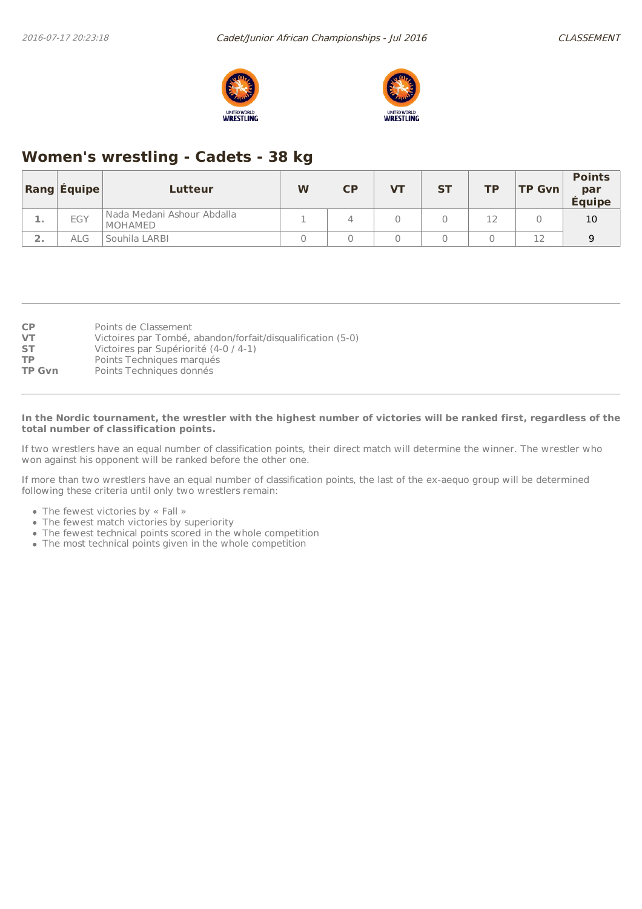



### **Women's wrestling - Cadets - 38 kg**

|        | $ $ Rang $ $ Équipe $ $ | Lutteur                               | W | СP | <b>ST</b> | TD                 | <b>TP Gvn</b> | <b>Points</b><br>par<br><b>Équipe</b> |
|--------|-------------------------|---------------------------------------|---|----|-----------|--------------------|---------------|---------------------------------------|
| alle s | EGY                     | Nada Medani Ashour Abdalla<br>MOHAMED |   |    |           | $\sim$ $\sim$<br>∸ |               | 10                                    |
| 2.     | <b>ALG</b>              | Souhila LARBI                         |   |    |           |                    | --            |                                       |

| <b>CP</b><br><b>VT</b> | Points de Classement<br>Victoires par Tombé, abandon/forfait/disqualification (5-0) |
|------------------------|-------------------------------------------------------------------------------------|
| <b>ST</b>              | Victoires par Supériorité (4-0 / 4-1)                                               |
| TP                     | Points Techniques marqués                                                           |
| <b>TP Gvn</b>          | Points Techniques donnés                                                            |

#### In the Nordic tournament, the wrestler with the highest number of victories will be ranked first, regardless of the **total number of classification points.**

If two wrestlers have an equal number of classification points, their direct match will determine the winner. The wrestler who won against his opponent will be ranked before the other one.

- The fewest victories by « Fall »
- The fewest match victories by superiority
- The fewest technical points scored in the whole competition
- The most technical points given in the whole competition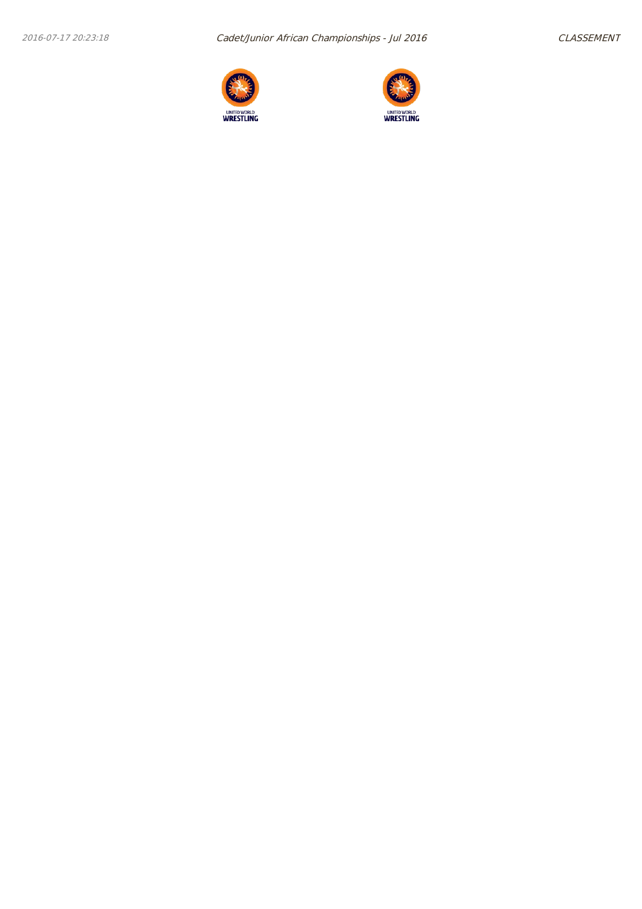

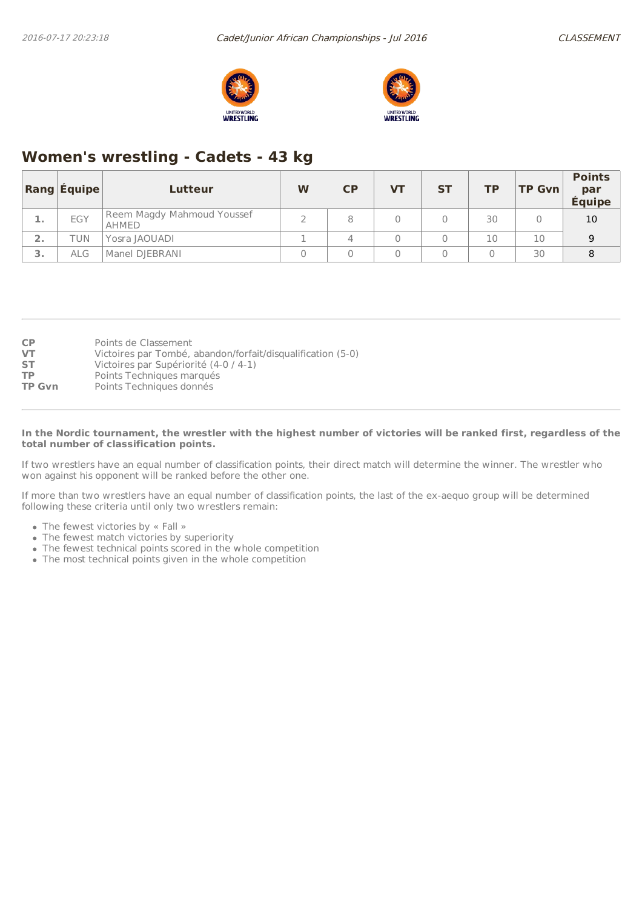



### **Women's wrestling - Cadets - 43 kg**

|              | <b>Rang</b> Equipe | Lutteur                             | W | <b>CP</b> | VТ | <b>ST</b> | ТP | <b>TP Gvn</b> | <b>Points</b><br>par<br>Équipe |
|--------------|--------------------|-------------------------------------|---|-----------|----|-----------|----|---------------|--------------------------------|
| alian s      | EGY                | Reem Magdy Mahmoud Youssef<br>AHMED |   | 8         |    |           | 30 |               | 10                             |
| $\mathbf{2}$ | TUN                | Yosra JAOUADI                       |   |           |    |           | 10 | 10            |                                |
| 3.           | <b>ALG</b>         | Manel DIEBRANI                      |   |           |    |           |    | 30            |                                |

| <b>CP</b>     | Points de Classement                                        |
|---------------|-------------------------------------------------------------|
| VT            | Victoires par Tombé, abandon/forfait/disqualification (5-0) |
| <b>ST</b>     | Victoires par Supériorité (4-0 / 4-1)                       |
| ТP            | Points Techniques marqués                                   |
| <b>TP Gvn</b> | Points Techniques donnés                                    |

### In the Nordic tournament, the wrestler with the highest number of victories will be ranked first, regardless of the **total number of classification points.**

If two wrestlers have an equal number of classification points, their direct match will determine the winner. The wrestler who won against his opponent will be ranked before the other one.

- The fewest victories by « Fall »
- The fewest match victories by superiority
- The fewest technical points scored in the whole competition
- The most technical points given in the whole competition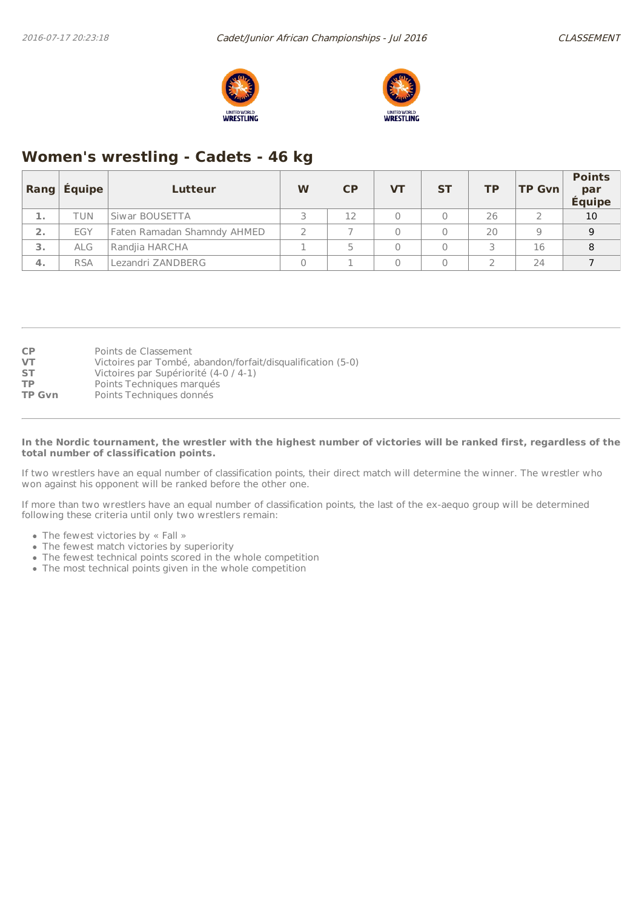



## **Women's wrestling - Cadets - 46 kg**

| <b>Rang</b> | <b>Équipe</b> | Lutteur                     | W | <b>CP</b> | VТ | <b>ST</b> | <b>TP</b> | <b>TP Gvn</b> | <b>Points</b><br>par<br>Équipe |
|-------------|---------------|-----------------------------|---|-----------|----|-----------|-----------|---------------|--------------------------------|
| alla p      | TUN           | Siwar BOUSETTA              |   | 12        |    |           | 26        |               | 10                             |
| 2.          | EGY           | Faten Ramadan Shamndy AHMED |   |           |    |           | 20        | Q             |                                |
| 3.          | <b>ALG</b>    | Randjia HARCHA              |   |           |    |           |           | 16            |                                |
| 4.          | <b>RSA</b>    | ezandri ZANDBERG            |   |           |    |           |           | 24            |                                |

| CP            | Points de Classement                                        |
|---------------|-------------------------------------------------------------|
| <b>VT</b>     | Victoires par Tombé, abandon/forfait/disqualification (5-0) |
| <b>ST</b>     | Victoires par Supériorité (4-0 / 4-1)                       |
| TP            | Points Techniques marqués                                   |
| <b>TP Gvn</b> | Points Techniques donnés                                    |

#### In the Nordic tournament, the wrestler with the highest number of victories will be ranked first, regardless of the **total number of classification points.**

If two wrestlers have an equal number of classification points, their direct match will determine the winner. The wrestler who won against his opponent will be ranked before the other one.

- The fewest victories by « Fall »
- The fewest match victories by superiority
- The fewest technical points scored in the whole competition
- The most technical points given in the whole competition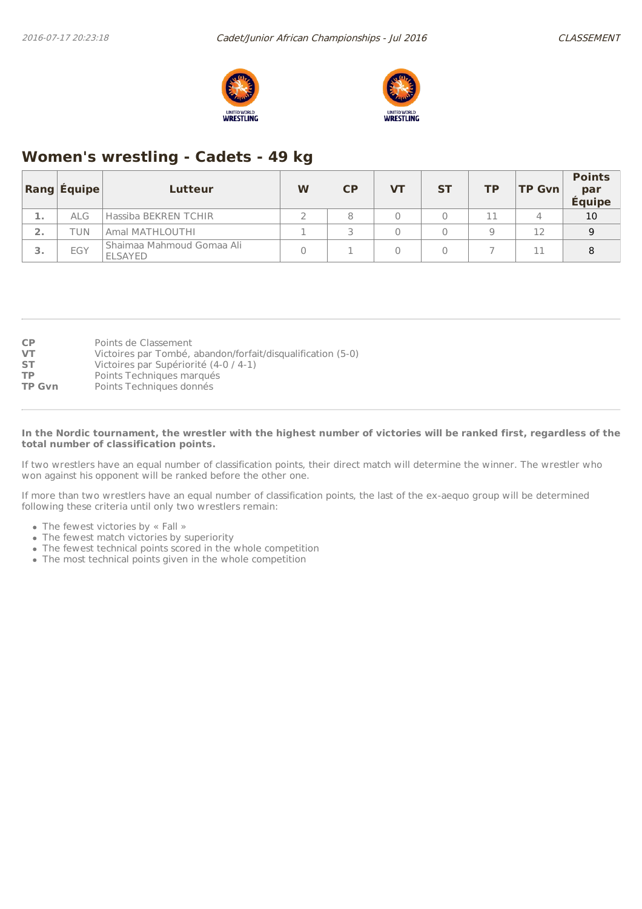



### **Women's wrestling - Cadets - 49 kg**

|       | <b>Rang</b> Équipe | Lutteur                                     | W | <b>CP</b> | VТ | <b>ST</b> | ТP | <b>TP Gvn</b> | <b>Points</b><br>par<br>Équipe |
|-------|--------------------|---------------------------------------------|---|-----------|----|-----------|----|---------------|--------------------------------|
| ala s | <b>ALG</b>         | Hassiba BEKREN TCHIR                        |   |           |    |           |    |               | 10                             |
| 2.    | TUN                | Amal MATHLOUTHI                             |   |           |    |           |    |               |                                |
| з.    | EGY                | Shaimaa Mahmoud Gomaa Ali<br><b>ELSAYED</b> |   |           |    |           |    |               |                                |

| <b>CP</b>     | Points de Classement                                        |
|---------------|-------------------------------------------------------------|
| <b>VT</b>     | Victoires par Tombé, abandon/forfait/disqualification (5-0) |
| <b>ST</b>     | Victoires par Supériorité (4-0 / 4-1)                       |
| TP            | Points Techniques marqués                                   |
| <b>TP Gvn</b> | Points Techniques donnés                                    |

### In the Nordic tournament, the wrestler with the highest number of victories will be ranked first, regardless of the **total number of classification points.**

If two wrestlers have an equal number of classification points, their direct match will determine the winner. The wrestler who won against his opponent will be ranked before the other one.

- The fewest victories by « Fall »
- The fewest match victories by superiority
- The fewest technical points scored in the whole competition
- The most technical points given in the whole competition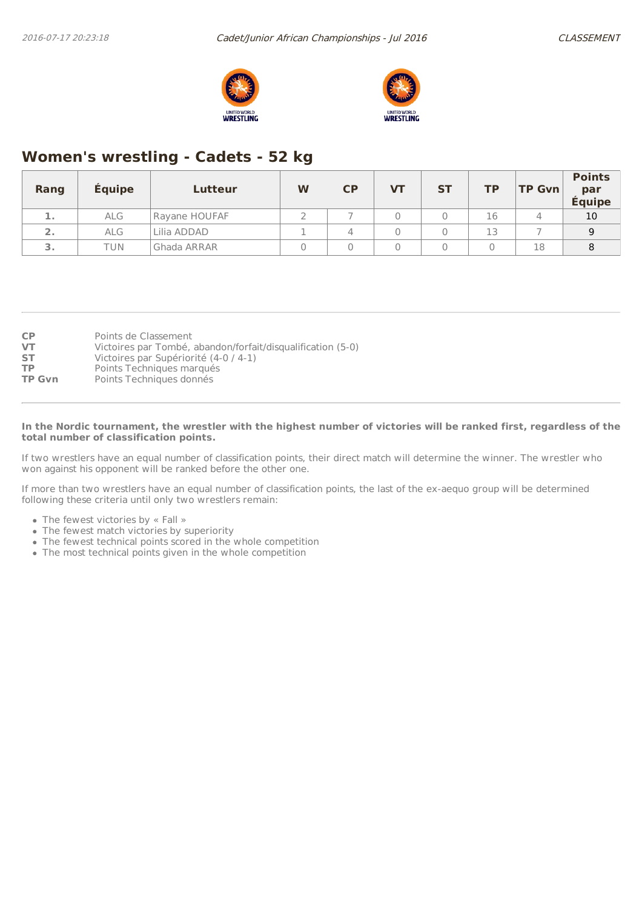



## **Women's wrestling - Cadets - 52 kg**

| Rang   | Équipe     | Lutteur       | W | <b>CP</b> | <b>VT</b> | <b>ST</b> | <b>TP</b> | <b>TP Gvn</b> | <b>Points</b><br>par<br>Équipe |
|--------|------------|---------------|---|-----------|-----------|-----------|-----------|---------------|--------------------------------|
| alla p | <b>ALG</b> | Rayane HOUFAF |   |           |           |           | 16        |               | 10                             |
| 2.     | <b>ALG</b> | Lilia ADDAD   |   |           |           |           |           |               |                                |
| З.     | TUN        | Ghada ARRAR   |   |           |           |           |           | 18            |                                |

| СP<br>VT<br>ST | Points de Classement<br>Victoires par Tombé, abandon/forfait/disqualification (5-0)<br>Victoires par Supériorité (4-0 / 4-1) |
|----------------|------------------------------------------------------------------------------------------------------------------------------|
| ТP             | Points Techniques marqués                                                                                                    |
| <b>TP Gvn</b>  | Points Techniques donnés                                                                                                     |

### In the Nordic tournament, the wrestler with the highest number of victories will be ranked first, regardless of the **total number of classification points.**

If two wrestlers have an equal number of classification points, their direct match will determine the winner. The wrestler who won against his opponent will be ranked before the other one.

- The fewest victories by « Fall »
- The fewest match victories by superiority
- The fewest technical points scored in the whole competition
- The most technical points given in the whole competition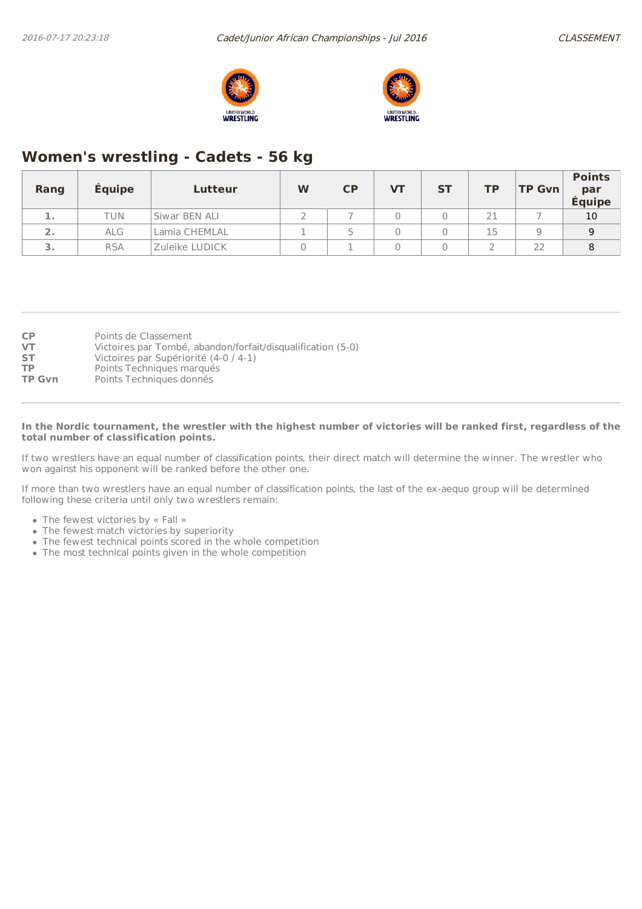



## **Women's wrestling - Cadets - 56 kg**

| Rang            | <b>Équipe</b> | Lutteur        | W | СP | VT | <b>ST</b> | ТP | <b>TP Gvn</b> | <b>Points</b><br>par<br>Équipe |
|-----------------|---------------|----------------|---|----|----|-----------|----|---------------|--------------------------------|
| <u>. н. н. </u> | TUN           | Siwar BEN ALI  |   |    |    |           | 21 |               | 10                             |
| 2.              | <b>ALG</b>    | 'Lamia CHEMLAL |   |    |    |           | 15 |               |                                |
| з.              | <b>RSA</b>    | Zuleike LUDICK |   |    |    |           |    | 22            |                                |

| <b>CP</b><br>VT<br><b>ST</b><br>ТP | Points de Classement<br>Victoires par Tombé, abandon/forfait/disqualification (5-0)<br>Victoires par Supériorité (4-0 / 4-1)<br>Points Techniques marqués |
|------------------------------------|-----------------------------------------------------------------------------------------------------------------------------------------------------------|
|                                    |                                                                                                                                                           |
| <b>TP Gvn</b>                      | Points Techniques donnés                                                                                                                                  |

### In the Nordic tournament, the wrestler with the highest number of victories will be ranked first, regardless of the **total number of classification points.**

If two wrestlers have an equal number of classification points, their direct match will determine the winner. The wrestler who won against his opponent will be ranked before the other one.

- The fewest victories by « Fall »
- The fewest match victories by superiority
- The fewest technical points scored in the whole competition
- The most technical points given in the whole competition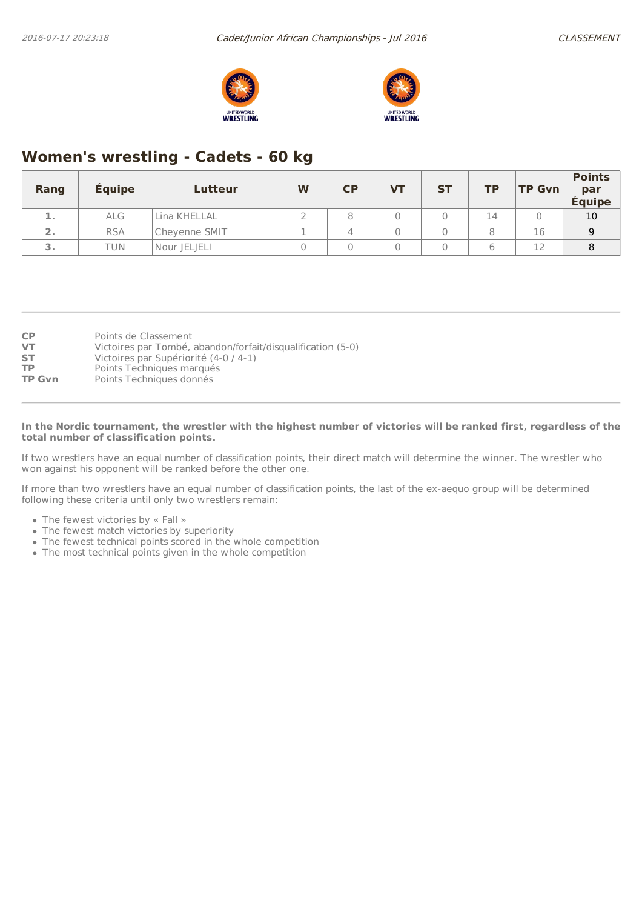



## **Women's wrestling - Cadets - 60 kg**

| Rang    | Équipe     | Lutteur       | W | $\mathsf{C}\mathsf{P}$ | VT | <b>ST</b> | <b>TP</b> | <b>TP Gvn</b> | <b>Points</b><br>par<br>Équipe |
|---------|------------|---------------|---|------------------------|----|-----------|-----------|---------------|--------------------------------|
| alian s | <b>ALG</b> | Lina KHELLAL  |   |                        |    |           |           |               | 10                             |
| 2.      | <b>RSA</b> | Cheyenne SMIT |   |                        |    |           |           | 16            |                                |
| 3.      | TUN        | Nour JELJELI  |   |                        |    |           |           | $\sim$ $\sim$ |                                |

| <b>CP</b><br>VT<br><b>ST</b><br>ТP | Points de Classement<br>Victoires par Tombé, abandon/forfait/disqualification (5-0)<br>Victoires par Supériorité (4-0 / 4-1)<br>Points Techniques marqués |
|------------------------------------|-----------------------------------------------------------------------------------------------------------------------------------------------------------|
|                                    |                                                                                                                                                           |
| <b>TP Gvn</b>                      | Points Techniques donnés                                                                                                                                  |

### In the Nordic tournament, the wrestler with the highest number of victories will be ranked first, regardless of the **total number of classification points.**

If two wrestlers have an equal number of classification points, their direct match will determine the winner. The wrestler who won against his opponent will be ranked before the other one.

- The fewest victories by « Fall »
- The fewest match victories by superiority
- The fewest technical points scored in the whole competition
- The most technical points given in the whole competition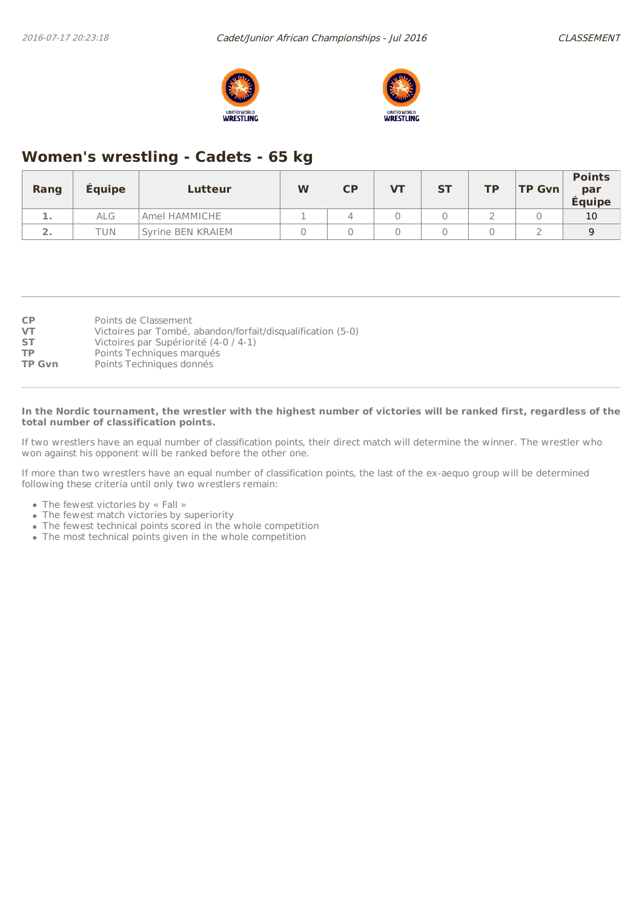



# **Women's wrestling - Cadets - 65 kg**

| Rang    | Équipe | Lutteur           | W | СP | $\sqrt{T}$ | <b>ST</b> | <b>TP</b> | <b>TP Gvn</b> | <b>Points</b><br>par<br><b>Équipe</b> |
|---------|--------|-------------------|---|----|------------|-----------|-----------|---------------|---------------------------------------|
| alle su | ALG    | Amel HAMMICHE     |   |    |            |           |           |               | 10                                    |
| . .     | TUN    | Syrine BEN KRAIEM |   |    |            |           |           |               |                                       |

| <b>CP</b><br><b>VT</b> | Points de Classement<br>Victoires par Tombé, abandon/forfait/disqualification (5-0) |
|------------------------|-------------------------------------------------------------------------------------|
| <b>ST</b>              | Victoires par Supériorité (4-0 / 4-1)                                               |
| <b>TP</b>              | Points Techniques marqués                                                           |
| <b>TP Gvn</b>          | Points Techniques donnés                                                            |

### In the Nordic tournament, the wrestler with the highest number of victories will be ranked first, regardless of the **total number of classification points.**

If two wrestlers have an equal number of classification points, their direct match will determine the winner. The wrestler who won against his opponent will be ranked before the other one.

- The fewest victories by « Fall »
- The fewest match victories by superiority
- The fewest technical points scored in the whole competition
- The most technical points given in the whole competition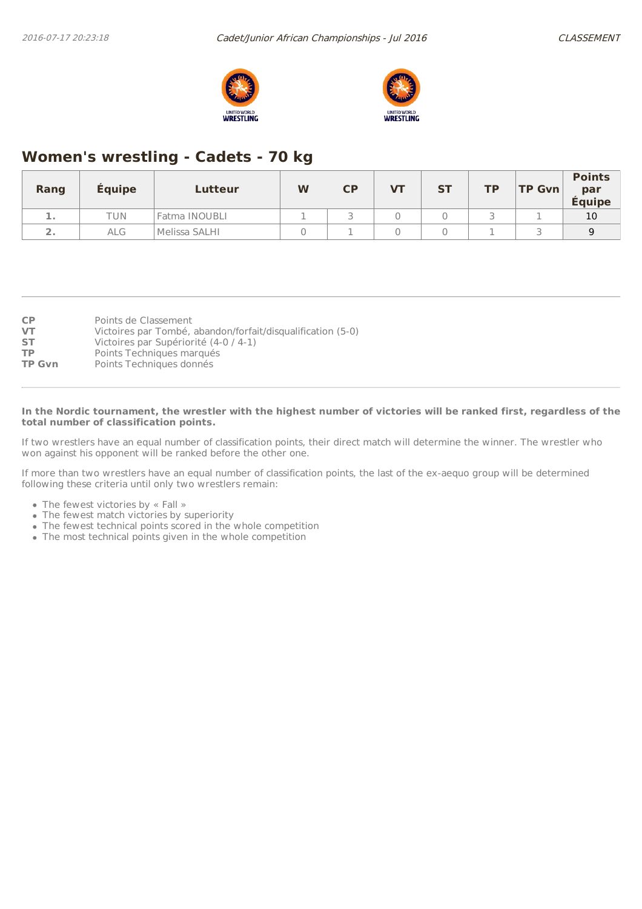



# **Women's wrestling - Cadets - 70 kg**

| Rang | Équipe     | Lutteur       | W | <b>CP</b> | <b>VT</b> | <b>ST</b> | <b>TP</b> | <b>TP Gvn</b> | <b>Points</b><br>par<br><b>Équipe</b> |
|------|------------|---------------|---|-----------|-----------|-----------|-----------|---------------|---------------------------------------|
|      | TUN        | Fatma INOUBLI |   |           |           |           |           |               | 10                                    |
|      | <b>ALG</b> | Melissa SALHI |   |           |           |           |           |               |                                       |

| <b>CP</b><br><b>VT</b> | Points de Classement<br>Victoires par Tombé, abandon/forfait/disqualification (5-0) |
|------------------------|-------------------------------------------------------------------------------------|
| <b>ST</b>              | Victoires par Supériorité (4-0 / 4-1)                                               |
| <b>TP</b>              | Points Techniques marqués                                                           |
| <b>TP Gvn</b>          | Points Techniques donnés                                                            |

### In the Nordic tournament, the wrestler with the highest number of victories will be ranked first, regardless of the **total number of classification points.**

If two wrestlers have an equal number of classification points, their direct match will determine the winner. The wrestler who won against his opponent will be ranked before the other one.

- The fewest victories by « Fall »
- The fewest match victories by superiority
- The fewest technical points scored in the whole competition
- The most technical points given in the whole competition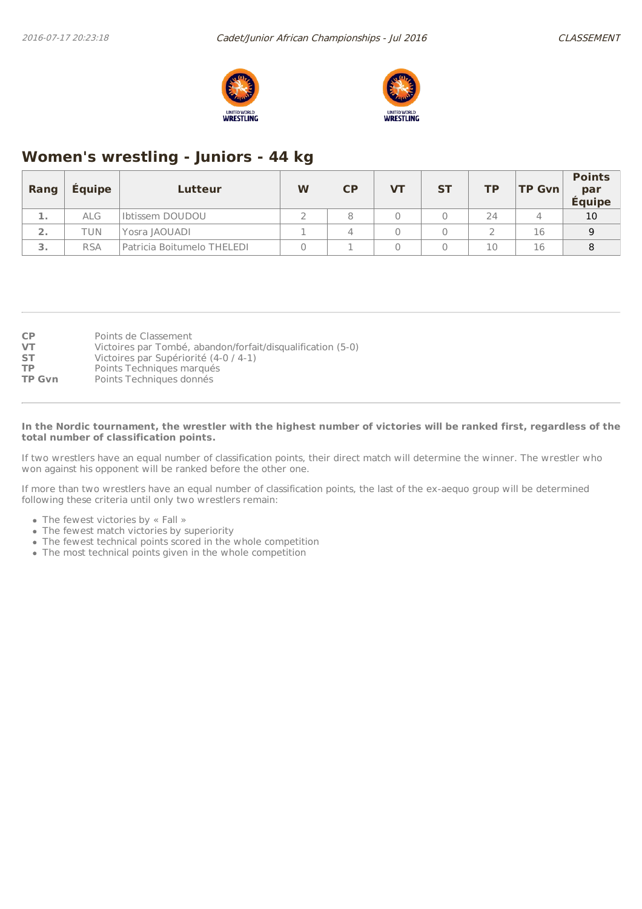



## **Women's wrestling - Juniors - 44 kg**

| Rang           | Équipe     | Lutteur                    | W | <b>CP</b> | VТ | <b>ST</b> | ТP | <b>TP Gvn</b> | <b>Points</b><br>par<br>Équipe |
|----------------|------------|----------------------------|---|-----------|----|-----------|----|---------------|--------------------------------|
| --             | <b>ALG</b> | Ibtissem DOUDOU            |   |           |    |           | 24 |               | 10                             |
| $\mathbf{2}$ . | TUN        | Yosra JAOUADI              |   |           |    |           |    | 16            |                                |
| з.             | <b>RSA</b> | Patricia Boitumelo THELEDI |   |           |    |           | 10 | 16            |                                |

| $\mathsf{C}\mathsf{P}$<br>VT<br><b>ST</b> | Points de Classement<br>Victoires par Tombé, abandon/forfait/disqualification (5-0)<br>Victoires par Supériorité (4-0 / 4-1) |
|-------------------------------------------|------------------------------------------------------------------------------------------------------------------------------|
| ТP                                        | Points Techniques marqués                                                                                                    |
| <b>TP Gvn</b>                             | Points Techniques donnés                                                                                                     |

### In the Nordic tournament, the wrestler with the highest number of victories will be ranked first, regardless of the **total number of classification points.**

If two wrestlers have an equal number of classification points, their direct match will determine the winner. The wrestler who won against his opponent will be ranked before the other one.

- The fewest victories by « Fall »
- The fewest match victories by superiority
- The fewest technical points scored in the whole competition
- The most technical points given in the whole competition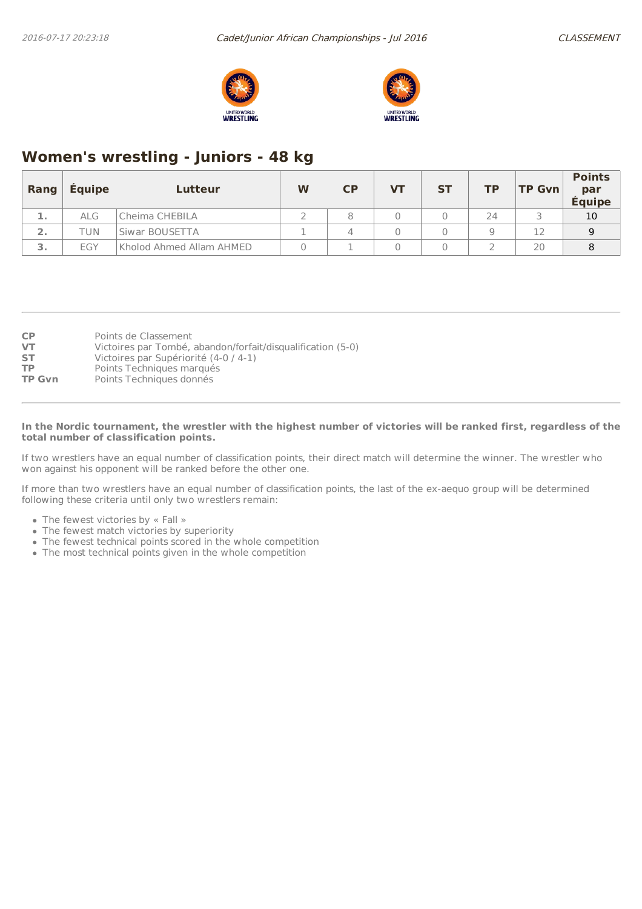



## **Women's wrestling - Juniors - 48 kg**

| Rang | Équipe     | <b>Lutteur</b>           | W | <b>CP</b> | VТ | <b>ST</b> | <b>TP</b> | <b>TP Gvn</b> | <b>Points</b><br>par<br>Équipe |
|------|------------|--------------------------|---|-----------|----|-----------|-----------|---------------|--------------------------------|
| 1.   | <b>ALG</b> | Cheima CHEBILA           |   |           |    |           | 24        |               | 10                             |
| 2.   | <b>TUN</b> | Siwar BOUSETTA           |   |           |    |           | Q         | 12            |                                |
| 3.   | EGY        | Kholod Ahmed Allam AHMED |   |           |    |           |           | 20            |                                |

| $\mathsf{C}\mathsf{P}$<br>VT<br><b>ST</b><br>ТP | Points de Classement<br>Victoires par Tombé, abandon/forfait/disqualification (5-0)<br>Victoires par Supériorité (4-0 / 4-1)<br>Points Techniques marqués |
|-------------------------------------------------|-----------------------------------------------------------------------------------------------------------------------------------------------------------|
|                                                 |                                                                                                                                                           |
| <b>TP Gvn</b>                                   | Points Techniques donnés                                                                                                                                  |

### In the Nordic tournament, the wrestler with the highest number of victories will be ranked first, regardless of the **total number of classification points.**

If two wrestlers have an equal number of classification points, their direct match will determine the winner. The wrestler who won against his opponent will be ranked before the other one.

- The fewest victories by « Fall »
- The fewest match victories by superiority
- The fewest technical points scored in the whole competition
- The most technical points given in the whole competition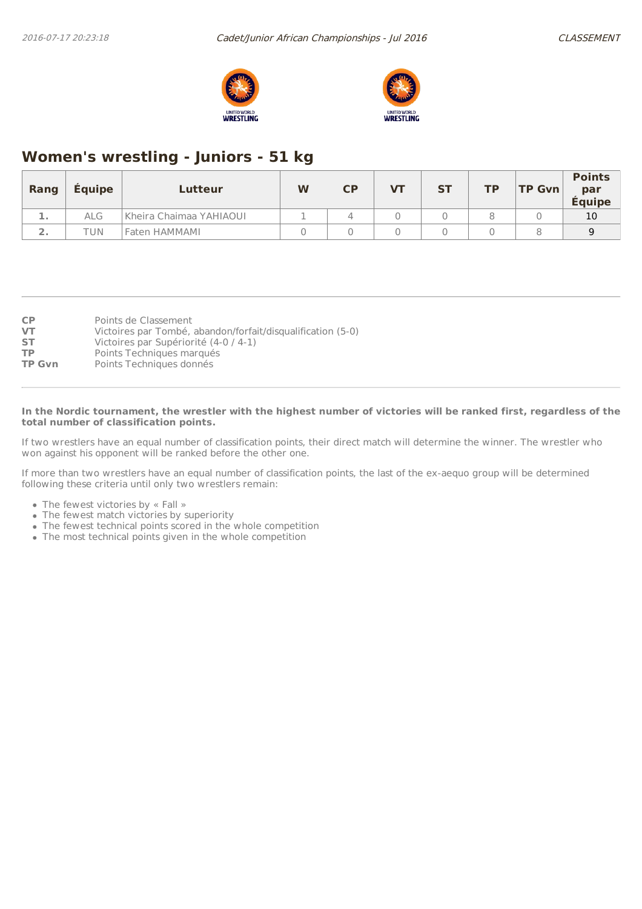



# **Women's wrestling - Juniors - 51 kg**

| Rang    | <b>Équipe</b> | Lutteur                 | W | <b>CP</b> | <b>VT</b> | <b>ST</b> | <b>TP</b> | <b>TP Gvn</b> | <b>Points</b><br>par<br><b>Équipe</b> |
|---------|---------------|-------------------------|---|-----------|-----------|-----------|-----------|---------------|---------------------------------------|
| alle su | ALG           | Kheira Chaimaa YAHIAOUI |   |           |           |           |           |               | 10                                    |
| -       | TUN           | Faten HAMMAMI           |   |           |           |           |           |               |                                       |

| <b>CP</b><br><b>VT</b> | Points de Classement<br>Victoires par Tombé, abandon/forfait/disqualification (5-0) |
|------------------------|-------------------------------------------------------------------------------------|
| <b>ST</b>              | Victoires par Supériorité (4-0 / 4-1)                                               |
| <b>TP</b>              | Points Techniques marqués                                                           |
| <b>TP Gvn</b>          | Points Techniques donnés                                                            |

### In the Nordic tournament, the wrestler with the highest number of victories will be ranked first, regardless of the **total number of classification points.**

If two wrestlers have an equal number of classification points, their direct match will determine the winner. The wrestler who won against his opponent will be ranked before the other one.

- The fewest victories by « Fall »
- The fewest match victories by superiority
- The fewest technical points scored in the whole competition
- The most technical points given in the whole competition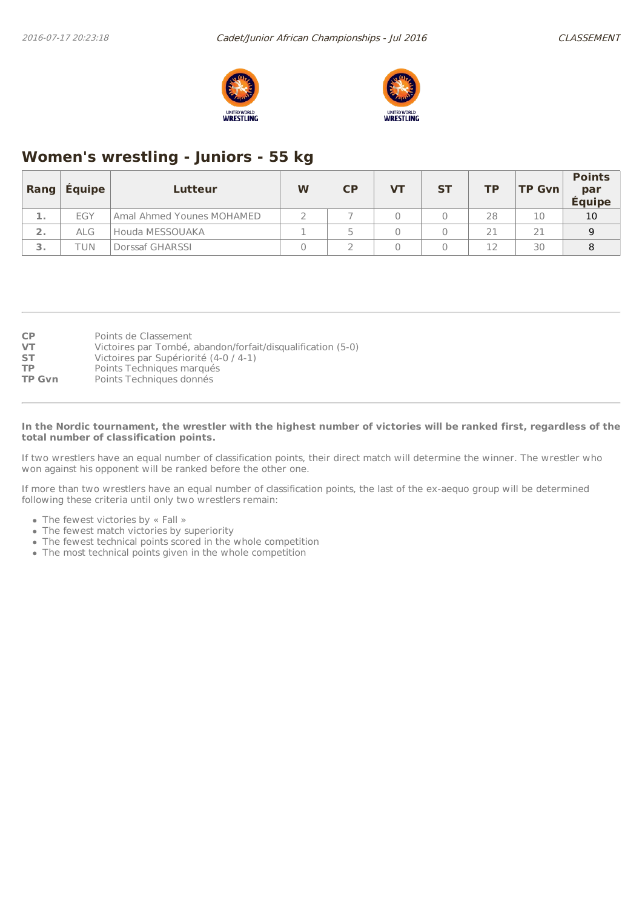



## **Women's wrestling - Juniors - 55 kg**

| <b>Rang</b> | Équipe     | Lutteur                   | W | CP | VТ | <b>ST</b> | ТP | <b>TP Gvn</b> | <b>Points</b><br>par<br>Équipe |
|-------------|------------|---------------------------|---|----|----|-----------|----|---------------|--------------------------------|
| 1.          | EGY        | Amal Ahmed Younes MOHAMED |   |    |    |           | 28 | 10            | 10                             |
| 2.          | <b>ALG</b> | Houda MESSOUAKA           |   |    |    |           | 21 | 21            |                                |
| 3.          | <b>TUN</b> | Dorssaf GHARSSI           |   |    |    |           |    | 30            |                                |

| $\mathsf{C}\mathsf{P}$<br>VT<br><b>ST</b> | Points de Classement<br>Victoires par Tombé, abandon/forfait/disqualification (5-0)<br>Victoires par Supériorité (4-0 / 4-1) |
|-------------------------------------------|------------------------------------------------------------------------------------------------------------------------------|
| ТP                                        | Points Techniques marqués                                                                                                    |
| <b>TP Gvn</b>                             | Points Techniques donnés                                                                                                     |

### In the Nordic tournament, the wrestler with the highest number of victories will be ranked first, regardless of the **total number of classification points.**

If two wrestlers have an equal number of classification points, their direct match will determine the winner. The wrestler who won against his opponent will be ranked before the other one.

- The fewest victories by « Fall »
- The fewest match victories by superiority
- The fewest technical points scored in the whole competition
- The most technical points given in the whole competition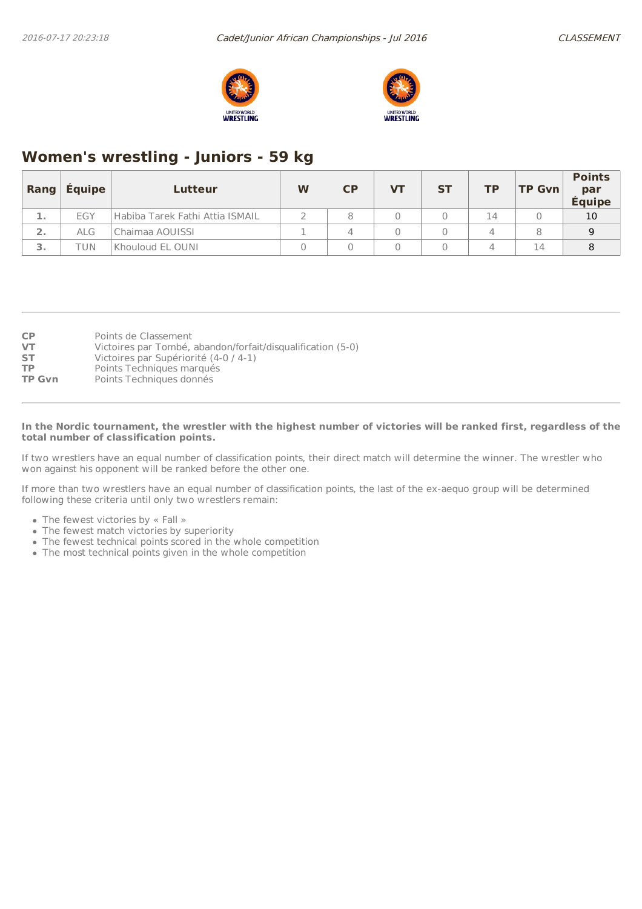



## **Women's wrestling - Juniors - 59 kg**

| Rang | Équipe | Lutteur                         | W | <b>CP</b> | VТ | <b>ST</b> | ТP | <b>TP Gvn</b> | <b>Points</b><br>par<br>Équipe |
|------|--------|---------------------------------|---|-----------|----|-----------|----|---------------|--------------------------------|
| 1.   | EGY    | Habiba Tarek Fathi Attia ISMAIL |   |           |    |           | 14 |               | 10                             |
| 2.   | ALG    | Chaimaa AOUISSI                 |   |           |    |           |    |               |                                |
| 3.   | TUN    | Khouloud EL OUNI                |   |           |    |           |    | 14            |                                |

| <b>CP</b>     | Points de Classement                                        |
|---------------|-------------------------------------------------------------|
| <b>VT</b>     | Victoires par Tombé, abandon/forfait/disqualification (5-0) |
| <b>ST</b>     | Victoires par Supériorité (4-0 / 4-1)                       |
| TP            | Points Techniques marqués                                   |
| <b>TP Gvn</b> | Points Techniques donnés                                    |

### In the Nordic tournament, the wrestler with the highest number of victories will be ranked first, regardless of the **total number of classification points.**

If two wrestlers have an equal number of classification points, their direct match will determine the winner. The wrestler who won against his opponent will be ranked before the other one.

- The fewest victories by « Fall »
- The fewest match victories by superiority
- The fewest technical points scored in the whole competition
- The most technical points given in the whole competition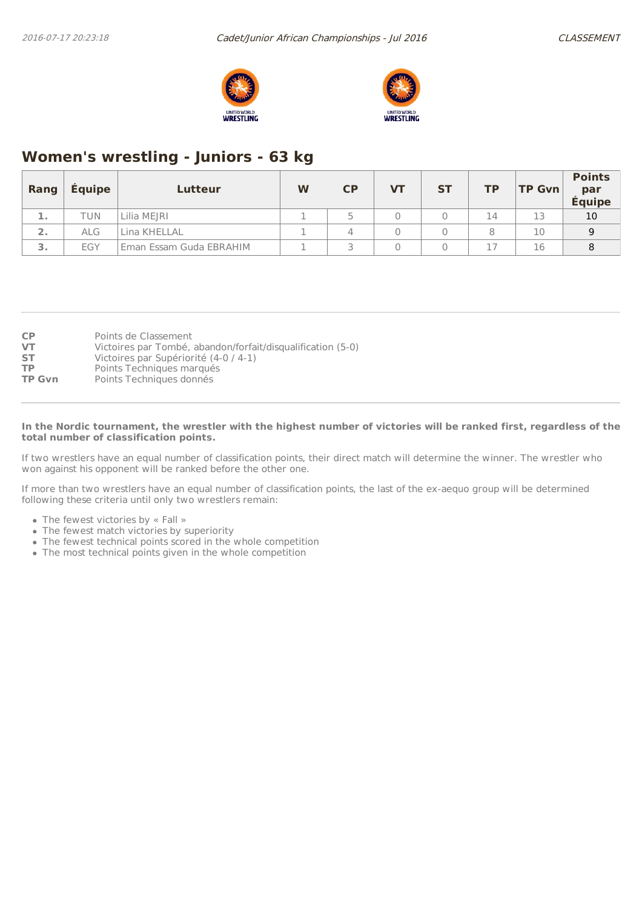



## **Women's wrestling - Juniors - 63 kg**

| Rang         | Équipe     | Lutteur                 | W | $\mathsf{C}\mathsf{P}$ | VТ | <b>ST</b> | ТP | <b>TP Gvn</b> | <b>Points</b><br>par<br>Équipe |
|--------------|------------|-------------------------|---|------------------------|----|-----------|----|---------------|--------------------------------|
| dia 11       | TUN        | Lilia MEJRI             |   |                        |    |           | 14 |               | 10                             |
| $\mathbf{2}$ | <b>ALG</b> | Lina KHELLAL            |   |                        |    |           |    | 10            |                                |
| 3.           | EGY        | Eman Essam Guda EBRAHIM |   |                        |    |           |    | 16            |                                |

| СP<br>VT<br>ST<br>ТP | Points de Classement<br>Victoires par Tombé, abandon/forfait/disqualification (5-0)<br>Victoires par Supériorité (4-0 / 4-1) |
|----------------------|------------------------------------------------------------------------------------------------------------------------------|
|                      | Points Techniques marqués                                                                                                    |
| <b>TP Gvn</b>        | Points Techniques donnés                                                                                                     |

### In the Nordic tournament, the wrestler with the highest number of victories will be ranked first, regardless of the **total number of classification points.**

If two wrestlers have an equal number of classification points, their direct match will determine the winner. The wrestler who won against his opponent will be ranked before the other one.

- The fewest victories by « Fall »
- The fewest match victories by superiority
- The fewest technical points scored in the whole competition
- The most technical points given in the whole competition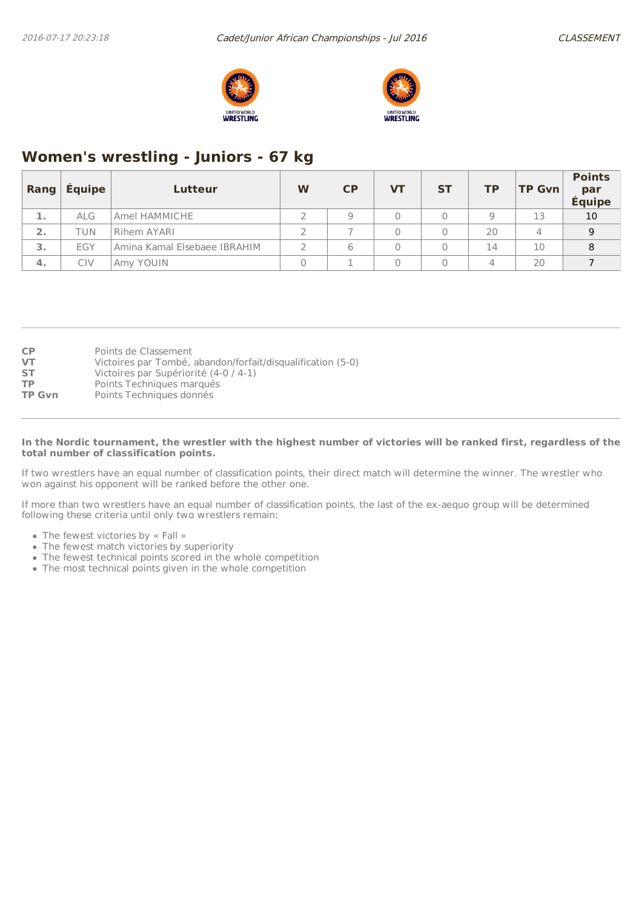



## **Women's wrestling - Juniors - 67 kg**

| Rang | Équipe     | Lutteur                      | W | <b>CP</b> | VТ | <b>ST</b> | <b>TP</b> | TP Gvn | <b>Points</b><br>par<br>Équipe |
|------|------------|------------------------------|---|-----------|----|-----------|-----------|--------|--------------------------------|
| 1.   | <b>ALG</b> | Amel HAMMICHE                |   | $\Omega$  |    |           | Q         | 13     | 10                             |
| 2.   | TUN        | Rihem AYARI                  |   |           |    |           | 20        |        | <sup>0</sup>                   |
| 3.   | EGY        | Amina Kamal Elsebaee IBRAHIM |   |           |    |           | 14        | 10     |                                |
| 4.   | <b>CIV</b> | Amy YOUIN                    |   |           |    |           | 4         | 20     |                                |

| CP            | Points de Classement                                        |
|---------------|-------------------------------------------------------------|
| VT            | Victoires par Tombé, abandon/forfait/disqualification (5-0) |
| <b>ST</b>     | Victoires par Supériorité (4-0 / 4-1)                       |
| ТP            | Points Techniques marqués                                   |
| <b>TP Gvn</b> | Points Techniques donnés                                    |

#### In the Nordic tournament, the wrestler with the highest number of victories will be ranked first, regardless of the **total number of classification points.**

If two wrestlers have an equal number of classification points, their direct match will determine the winner. The wrestler who won against his opponent will be ranked before the other one.

- The fewest victories by « Fall »
- The fewest match victories by superiority
- The fewest technical points scored in the whole competition
- The most technical points given in the whole competition